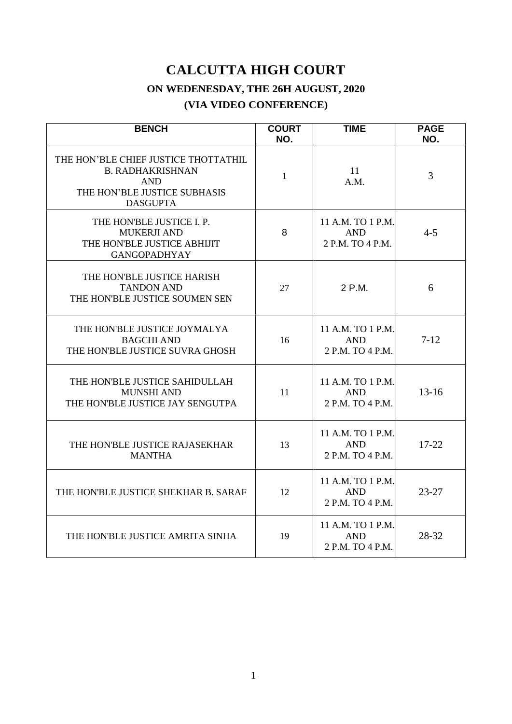# **CALCUTTA HIGH COURT ON WEDENESDAY, THE 26H AUGUST, 2020 (VIA VIDEO CONFERENCE)**

| <b>BENCH</b>                                                                                                                     | <b>COURT</b><br>NO. | <b>TIME</b>                                             | <b>PAGE</b><br>NO. |
|----------------------------------------------------------------------------------------------------------------------------------|---------------------|---------------------------------------------------------|--------------------|
| THE HON'BLE CHIEF JUSTICE THOTTATHIL<br><b>B. RADHAKRISHNAN</b><br><b>AND</b><br>THE HON'BLE JUSTICE SUBHASIS<br><b>DASGUPTA</b> | $\mathbf{1}$        | 11<br>A.M.                                              | 3                  |
| THE HON'BLE JUSTICE I. P.<br><b>MUKERJI AND</b><br>THE HON'BLE JUSTICE ABHIJIT<br><b>GANGOPADHYAY</b>                            | 8                   | 11 A.M. TO 1 P.M.<br><b>AND</b><br>2 P.M. TO 4 P.M.     | $4 - 5$            |
| THE HON'BLE JUSTICE HARISH<br><b>TANDON AND</b><br>THE HON'BLE JUSTICE SOUMEN SEN                                                | 27                  | 2 P.M.                                                  | 6                  |
| THE HON'BLE JUSTICE JOYMALYA<br><b>BAGCHI AND</b><br>THE HON'BLE JUSTICE SUVRA GHOSH                                             | 16                  | 11 A.M. TO 1 P.M.<br>$\mathbf{AND}$<br>2 P.M. TO 4 P.M. | $7-12$             |
| THE HON'BLE JUSTICE SAHIDULLAH<br><b>MUNSHI AND</b><br>THE HON'BLE JUSTICE JAY SENGUTPA                                          | 11                  | 11 A.M. TO 1 P.M.<br><b>AND</b><br>2 P.M. TO 4 P.M.     | $13 - 16$          |
| THE HON'BLE JUSTICE RAJASEKHAR<br><b>MANTHA</b>                                                                                  | 13                  | 11 A.M. TO 1 P.M.<br><b>AND</b><br>2 P.M. TO 4 P.M.     | $17 - 22$          |
| THE HON'BLE JUSTICE SHEKHAR B. SARAF                                                                                             | 12                  | 11 A.M. TO 1 P.M.<br><b>AND</b><br>2 P.M. TO 4 P.M.     | $23 - 27$          |
| THE HON'BLE JUSTICE AMRITA SINHA                                                                                                 | 19                  | 11 A.M. TO 1 P.M.<br><b>AND</b><br>2 P.M. TO 4 P.M.     | 28-32              |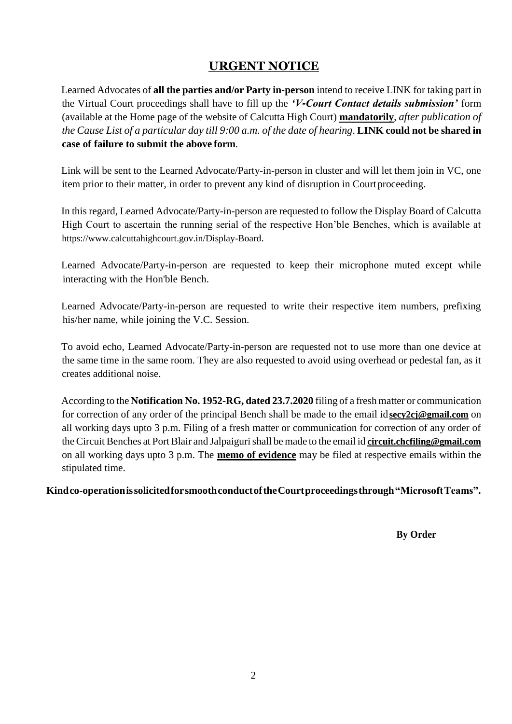## **URGENT NOTICE**

Learned Advocates of **all the parties and/or Party in-person** intend to receive LINK for taking part in the Virtual Court proceedings shall have to fill up the *'V-Court Contact details submission'* form (available at the Home page of the website of Calcutta High Court) **mandatorily**, *after publication of*  the Cause List of a particular day till 9:00 a.m. of the date of hearing. LINK could not be shared in **case of failure to submit the above form**.

Link will be sent to the Learned Advocate/Party-in-person in cluster and will let them join in VC, one item prior to their matter, in order to prevent any kind of disruption in Court proceeding.

In this regard, Learned Advocate/Party-in-person are requested to follow the Display Board of Calcutta High Court to ascertain the running serial of the respective Hon'ble Benches, which is available at <https://www.calcuttahighcourt.gov.in/Display-Board>.

Learned Advocate/Party-in-person are requested to keep their microphone muted except while interacting with the Hon'ble Bench.

Learned Advocate/Party-in-person are requested to write their respective item numbers, prefixing his/her name, while joining the V.C. Session.

To avoid echo, Learned Advocate/Party-in-person are requested not to use more than one device at the same time in the same room. They are also requested to avoid using overhead or pedestal fan, as it creates additional noise.

According to the **Notification No. 1952-RG, dated 23.7.2020** filing of a fresh matter or communication for correction of any order of the principal Bench shall be made to the email id**[secy2cj@gmail.com](mailto:secy2cj@gmail.com)** on all working days upto 3 p.m. Filing of a fresh matter or communication for correction of any order of theCircuit Benches at PortBlair and Jalpaigurishall be made to the email id **[circuit.chcfiling@gmail.com](mailto:circuit.chcfiling@gmail.com)** on all working days upto 3 p.m. The **memo of evidence** may be filed at respective emails within the stipulated time.

Kind co-operation is solicited for smooth conduct of the Court proceedings through "Microsoft Teams".

**By Order**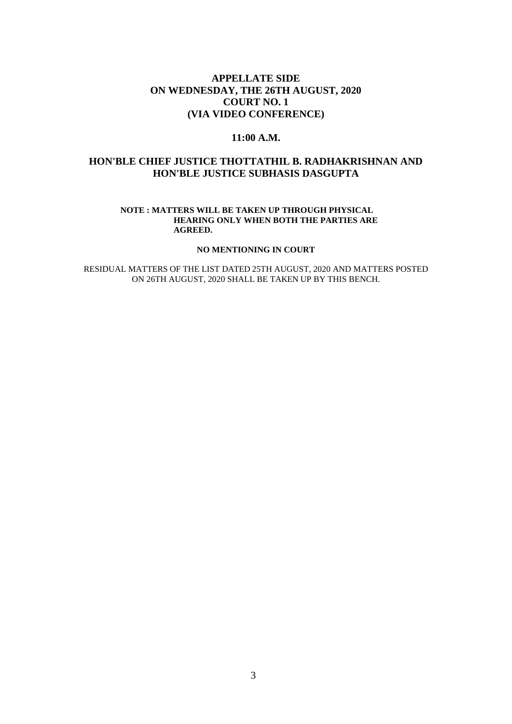### **APPELLATE SIDE ON WEDNESDAY, THE 26TH AUGUST, 2020 COURT NO. 1 (VIA VIDEO CONFERENCE)**

### **11:00 A.M.**

### **HON'BLE CHIEF JUSTICE THOTTATHIL B. RADHAKRISHNAN AND HON'BLE JUSTICE SUBHASIS DASGUPTA**

#### **NOTE : MATTERS WILL BE TAKEN UP THROUGH PHYSICAL HEARING ONLY WHEN BOTH THE PARTIES ARE AGREED.**

#### **NO MENTIONING IN COURT**

RESIDUAL MATTERS OF THE LIST DATED 25TH AUGUST, 2020 AND MATTERS POSTED ON 26TH AUGUST, 2020 SHALL BE TAKEN UP BY THIS BENCH.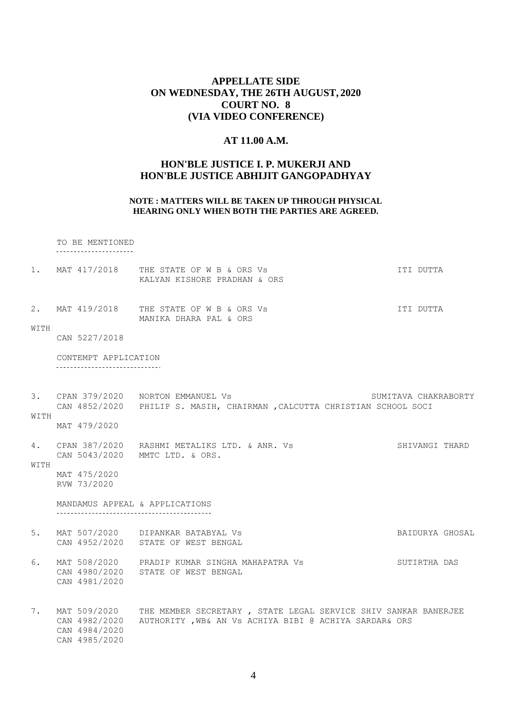### **APPELLATE SIDE ON WEDNESDAY, THE 26TH AUGUST, 2020 COURT NO. 8 (VIA VIDEO CONFERENCE)**

### **AT 11.00 A.M.**

### **HON'BLE JUSTICE I. P. MUKERJI AND HON'BLE JUSTICE ABHIJIT GANGOPADHYAY**

#### **NOTE : MATTERS WILL BE TAKEN UP THROUGH PHYSICAL HEARING ONLY WHEN BOTH THE PARTIES ARE AGREED.**

TO BE MENTIONED

-----------------------

|            |                                                 | 1. MAT 417/2018 THE STATE OF W B & ORS Vs<br>KALYAN KISHORE PRADHAN & ORS                                                             | ITI DUTTA            |
|------------|-------------------------------------------------|---------------------------------------------------------------------------------------------------------------------------------------|----------------------|
| WITH       | CAN 5227/2018<br>CONTEMPT APPLICATION           | 2. MAT 419/2018 THE STATE OF W B & ORS Vs<br>MANIKA DHARA PAL & ORS                                                                   | ITI DUTTA            |
|            | -------------------------------                 |                                                                                                                                       |                      |
| WITH       | MAT 479/2020                                    | 3. CPAN 379/2020 NORTON EMMANUEL Vs<br>CAN 4852/2020 PHILIP S. MASIH, CHAIRMAN, CALCUTTA CHRISTIAN SCHOOL SOCI                        | SUMITAVA CHAKRABORTY |
| 4.<br>WITH | MAT 475/2020<br>RVW 73/2020                     | CPAN 387/2020 RASHMI METALIKS LTD. & ANR. Vs<br>CAN 5043/2020 MMTC LTD. & ORS.                                                        | SHIVANGI THARD       |
|            |                                                 | MANDAMUS APPEAL & APPLICATIONS                                                                                                        |                      |
| 5.         |                                                 | MAT 507/2020 DIPANKAR BATABYAL VS<br>CAN 4952/2020 STATE OF WEST BENGAL                                                               | BAIDURYA GHOSAL      |
| 6.         | CAN 4981/2020                                   | MAT 508/2020 PRADIP KUMAR SINGHA MAHAPATRA VS<br>CAN 4980/2020 STATE OF WEST BENGAL                                                   | SUTIRTHA DAS         |
| 7.         | CAN 4982/2020<br>CAN 4984/2020<br>CAN 4985/2020 | MAT 509/2020 THE MEMBER SECRETARY, STATE LEGAL SERVICE SHIV SANKAR BANERJEE<br>AUTHORITY , WB& AN Vs ACHIYA BIBI @ ACHIYA SARDAR& ORS |                      |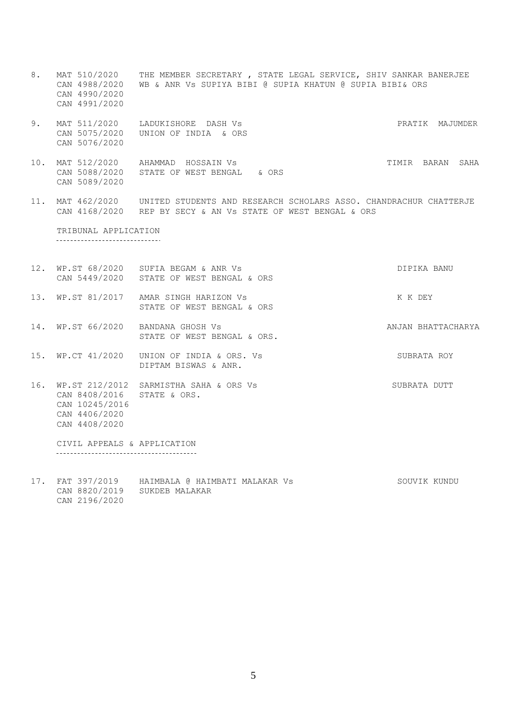- 8. MAT 510/2020 THE MEMBER SECRETARY , STATE LEGAL SERVICE, SHIV SANKAR BANERJEE CAN 4988/2020 WB & ANR Vs SUPIYA BIBI @ SUPIA KHATUN @ SUPIA BIBI& ORS CAN 4990/2020 CAN 4991/2020
- 9. MAT 511/2020 LADUKISHORE DASH Vs PARTIK MAJUMDER CAN 5075/2020 UNION OF INDIA & ORS CAN 5076/2020
- 10. MAT 512/2020 AHAMMAD HOSSAIN Vs TIMIR BARAN SAHA CAN 5088/2020 STATE OF WEST BENGAL & ORS CAN 5089/2020
- 11. MAT 462/2020 UNITED STUDENTS AND RESEARCH SCHOLARS ASSO. CHANDRACHUR CHATTERJE CAN 4168/2020 REP BY SECY & AN Vs STATE OF WEST BENGAL & ORS

TRIBUNAL APPLICATION

- 12. WP.ST 68/2020 SUFIA BEGAM & ANR Vs DIPIKA BANU CAN 5449/2020 STATE OF WEST BENGAL & ORS
- 13. WP.ST 81/2017 AMAR SINGH HARIZON Vs K K DEY STATE OF WEST BENGAL & ORS
- 14. WP.ST 66/2020 BANDANA GHOSH Vs ANJAN BHATTACHARYA STATE OF WEST BENGAL & ORS.
- 15. WP.CT 41/2020 UNION OF INDIA & ORS. Vs SUBRATA ROY DIPTAM BISWAS & ANR.
- 16. WP.ST 212/2012 SARMISTHA SAHA & ORS Vs SUBRATA DUTT CAN 8408/2016 STATE & ORS. CAN 10245/2016 CAN 4406/2020 CAN 4408/2020

CIVIL APPEALS & APPLICATION 

17. FAT 397/2019 HAIMBALA @ HAIMBATI MALAKAR Vs SOUVIK KUNDU CAN 8820/2019 SUKDEB MALAKAR CAN 2196/2020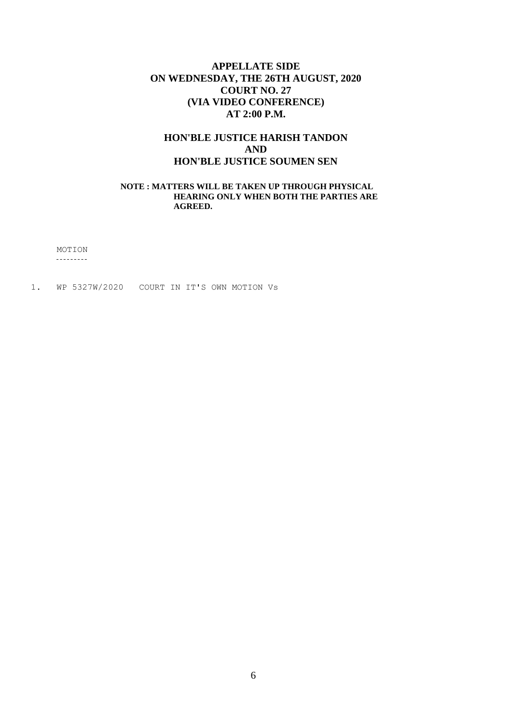### **APPELLATE SIDE ON WEDNESDAY, THE 26TH AUGUST, 2020 COURT NO. 27 (VIA VIDEO CONFERENCE) AT 2:00 P.M.**

### **HON'BLE JUSTICE HARISH TANDON AND HON'BLE JUSTICE SOUMEN SEN**

#### **NOTE : MATTERS WILL BE TAKEN UP THROUGH PHYSICAL HEARING ONLY WHEN BOTH THE PARTIES ARE AGREED.**

MOTION

1. WP 5327W/2020 COURT IN IT'S OWN MOTION Vs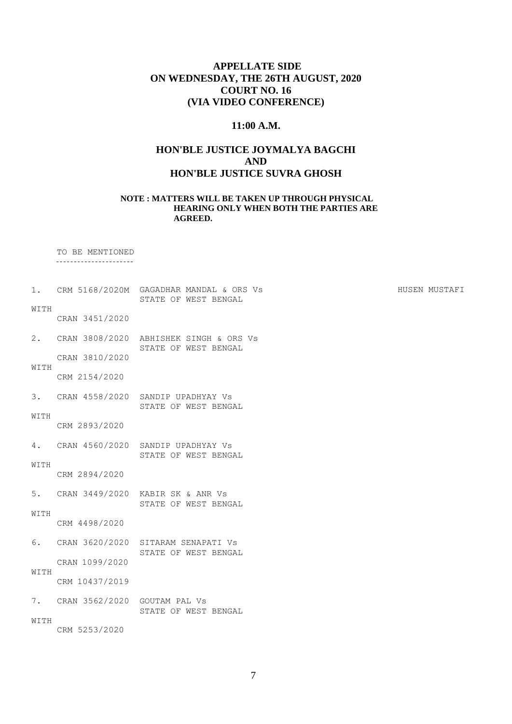### **APPELLATE SIDE ON WEDNESDAY, THE 26TH AUGUST, 2020 COURT NO. 16 (VIA VIDEO CONFERENCE)**

### **11:00 A.M.**

### **HON'BLE JUSTICE JOYMALYA BAGCHI AND HON'BLE JUSTICE SUVRA GHOSH**

#### **NOTE : MATTERS WILL BE TAKEN UP THROUGH PHYSICAL HEARING ONLY WHEN BOTH THE PARTIES ARE AGREED.**

TO BE MENTIONED

| WITH |                                 | 1. CRM 5168/2020M GAGADHAR MANDAL & ORS Vs<br>STATE OF WEST BENGAL | HUSEN MUSTAFI |
|------|---------------------------------|--------------------------------------------------------------------|---------------|
|      | CRAN 3451/2020                  |                                                                    |               |
|      |                                 | 2. CRAN 3808/2020 ABHISHEK SINGH & ORS Vs<br>STATE OF WEST BENGAL  |               |
| WITH | CRAN 3810/2020                  |                                                                    |               |
|      | CRM 2154/2020                   |                                                                    |               |
| WITH |                                 | 3. CRAN 4558/2020 SANDIP UPADHYAY Vs<br>STATE OF WEST BENGAL       |               |
|      | CRM 2893/2020                   |                                                                    |               |
|      |                                 | 4. CRAN 4560/2020 SANDIP UPADHYAY Vs<br>STATE OF WEST BENGAL       |               |
| WITH | CRM 2894/2020                   |                                                                    |               |
|      |                                 | 5. CRAN 3449/2020 KABIR SK & ANR Vs<br>STATE OF WEST BENGAL        |               |
| WITH | CRM 4498/2020                   |                                                                    |               |
| 6.   |                                 | CRAN 3620/2020 SITARAM SENAPATI VS<br>STATE OF WEST BENGAL         |               |
| WITH | CRAN 1099/2020                  |                                                                    |               |
|      | CRM 10437/2019                  |                                                                    |               |
|      | 7. CRAN 3562/2020 GOUTAM PAL Vs | STATE OF WEST BENGAL                                               |               |
| WITH | CRM 5253/2020                   |                                                                    |               |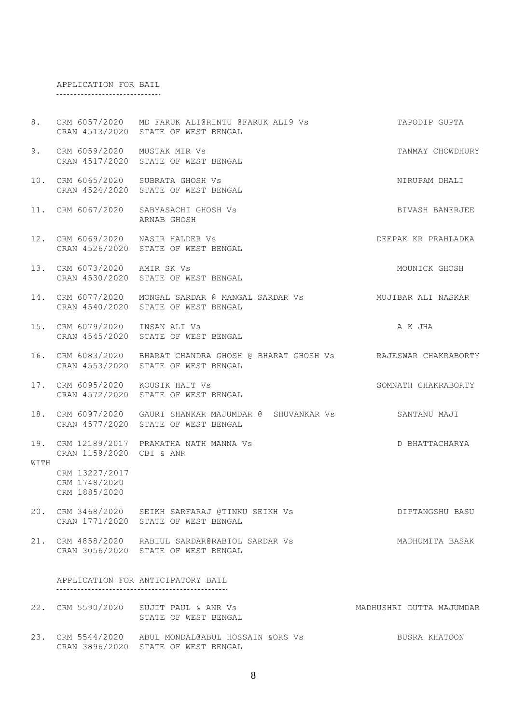APPLICATION FOR BAIL

|      |                                                  | 8. CRM 6057/2020 MD FARUK ALI@RINTU @FARUK ALI9 Vs<br>CRAN 4513/2020 STATE OF WEST BENGAL                            | TAPODIP GUPTA            |
|------|--------------------------------------------------|----------------------------------------------------------------------------------------------------------------------|--------------------------|
|      | 9. CRM 6059/2020 MUSTAK MIR Vs                   | CRAN 4517/2020 STATE OF WEST BENGAL                                                                                  | TANMAY CHOWDHURY         |
|      |                                                  | 10. CRM 6065/2020 SUBRATA GHOSH Vs<br>CRAN 4524/2020 STATE OF WEST BENGAL                                            | NIRUPAM DHALI            |
|      |                                                  | 11. CRM 6067/2020 SABYASACHI GHOSH Vs<br>ARNAB GHOSH                                                                 | BIVASH BANERJEE          |
|      |                                                  | 12. CRM 6069/2020 NASIR HALDER Vs<br>CRAN 4526/2020 STATE OF WEST BENGAL                                             | DEEPAK KR PRAHLADKA      |
|      | 13. CRM 6073/2020 AMIR SK Vs                     | CRAN 4530/2020 STATE OF WEST BENGAL                                                                                  | MOUNICK GHOSH            |
|      |                                                  | 14. CRM 6077/2020 MONGAL SARDAR @ MANGAL SARDAR Vs MUJIBAR ALI NASKAR<br>CRAN 4540/2020 STATE OF WEST BENGAL         |                          |
|      | 15. CRM 6079/2020 INSAN ALI Vs                   | CRAN 4545/2020 STATE OF WEST BENGAL                                                                                  | A K JHA                  |
|      |                                                  | 16. CRM 6083/2020 BHARAT CHANDRA GHOSH @ BHARAT GHOSH Vs RAJESWAR CHAKRABORTY<br>CRAN 4553/2020 STATE OF WEST BENGAL |                          |
|      | 17. CRM 6095/2020 KOUSIK HAIT Vs                 | CRAN 4572/2020 STATE OF WEST BENGAL                                                                                  | SOMNATH CHAKRABORTY      |
|      |                                                  | 18. CRM 6097/2020 GAURI SHANKAR MAJUMDAR @ SHUVANKAR Vs SANTANU MAJI<br>CRAN 4577/2020 STATE OF WEST BENGAL          |                          |
| WITH | CRAN 1159/2020 CBI & ANR                         | 19. CRM 12189/2017 PRAMATHA NATH MANNA Vs                                                                            | D BHATTACHARYA           |
|      | CRM 13227/2017<br>CRM 1748/2020<br>CRM 1885/2020 |                                                                                                                      |                          |
|      |                                                  | 20. CRM 3468/2020 SEIKH SARFARAJ @TINKU SEIKH Vs<br>CRAN 1771/2020 STATE OF WEST BENGAL                              | DIPTANGSHU BASU          |
|      |                                                  | 21. CRM 4858/2020 RABIUL SARDAR@RABIOL SARDAR Vs<br>CRAN 3056/2020 STATE OF WEST BENGAL                              | MADHUMITA BASAK          |
|      |                                                  | APPLICATION FOR ANTICIPATORY BAIL                                                                                    |                          |
|      |                                                  | 22. CRM 5590/2020 SUJIT PAUL & ANR Vs<br>STATE OF WEST BENGAL                                                        | MADHUSHRI DUTTA MAJUMDAR |
|      |                                                  | 23. CRM 5544/2020 ABUL MONDAL@ABUL HOSSAIN & ORS Vs<br>CRAN 3896/2020 STATE OF WEST BENGAL                           | BUSRA KHATOON            |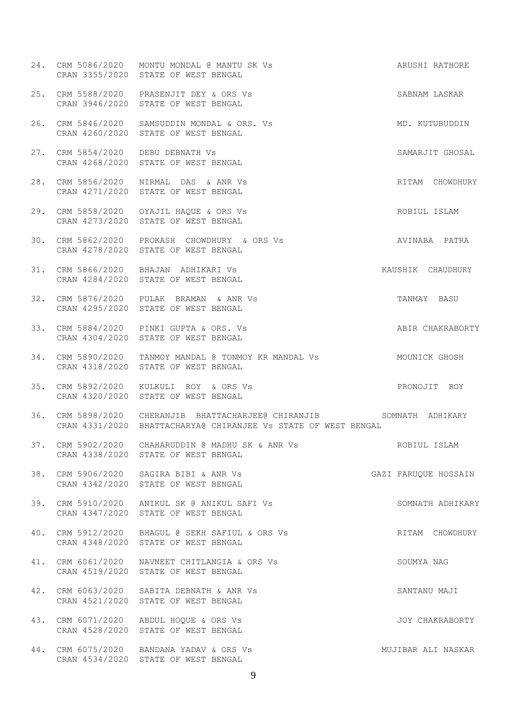|     | 24. CRM 5086/2020 MONTU MONDAL @ MANTU SK Vs<br>CRAN 3355/2020 STATE OF WEST BENGAL                                                     | ARUSHI RATHORE       |
|-----|-----------------------------------------------------------------------------------------------------------------------------------------|----------------------|
|     | 25. CRM 5588/2020 PRASENJIT DEY & ORS Vs<br>CRAN 3946/2020 STATE OF WEST BENGAL                                                         | SABNAM LASKAR        |
|     | 26. CRM 5846/2020 SAMSUDDIN MONDAL & ORS. Vs<br>CRAN 4260/2020 STATE OF WEST BENGAL                                                     | MD. KUTUBUDDIN       |
|     | 27. CRM 5854/2020 DEBU DEBNATH Vs<br>CRAN 4268/2020 STATE OF WEST BENGAL                                                                | SAMARJIT GHOSAL      |
|     | RITAM CHOWDHURY<br>28. CRM 5856/2020 NIRMAL DAS & ANR Vs<br>CRAN 4271/2020 STATE OF WEST BENGAL                                         |                      |
|     | 29. CRM 5858/2020 OYAJIL HAQUE & ORS Vs<br>CRAN 4273/2020 STATE OF WEST BENGAL                                                          | ROBIUL ISLAM         |
|     | 30. CRM 5862/2020 PROKASH CHOWDHURY & ORS Vs SAVINABA PATRA<br>CRAN 4278/2020 STATE OF WEST BENGAL                                      |                      |
|     | 31. CRM 5866/2020 BHAJAN ADHIKARI VS<br>CRAN 4284/2020 STATE OF WEST BENGAL                                                             | KAUSHIK CHAUDHURY    |
|     | 32. CRM 5876/2020 PULAK BRAMAN & ANR Vs<br>CRAN 4295/2020 STATE OF WEST BENGAL                                                          | TANMAY BASU          |
|     | ABIR CHAKRABORTY<br>33. CRM 5884/2020 PINKI GUPTA & ORS. Vs<br>CRAN 4304/2020 STATE OF WEST BENGAL                                      |                      |
| 34. | CRM 5890/2020 TANMOY MANDAL @ TONMOY KR MANDAL Vs MOUNICK GHOSH<br>CRAN 4318/2020 STATE OF WEST BENGAL                                  |                      |
| 35. | PRONOJIT ROY<br>CRM 5892/2020 KULKULI ROY & ORS Vs<br>CRAN 4320/2020 STATE OF WEST BENGAL                                               |                      |
|     | 36. CRM 5898/2020 CHERANJIB BHATTACHARJEE@ CHIRANJIB SOMNATH ADHIKARY<br>CRAN 4331/2020 BHATTACHARYA@ CHIRANJEE Vs STATE OF WEST BENGAL |                      |
| 37. | CRM 5902/2020 CHAHARUDDIN @ MADHU SK & ANR Vs<br>CRAN 4338/2020 STATE OF WEST BENGAL                                                    | ROBIUL ISLAM         |
|     | 38. CRM 5906/2020 SAGIRA BIBI & ANR Vs<br>CRAN 4342/2020 STATE OF WEST BENGAL                                                           | GAZI FARUQUE HOSSAIN |
|     | 39. CRM 5910/2020 ANIKUL SK @ ANIKUL SAFI Vs<br>CRAN 4347/2020 STATE OF WEST BENGAL                                                     | SOMNATH ADHIKARY     |
|     | 40. CRM 5912/2020 BHAGUL @ SEKH SAFIUL & ORS Vs<br>CRAN 4348/2020 STATE OF WEST BENGAL                                                  | RITAM CHOWDHURY      |
|     | 41. CRM 6061/2020 NAVNEET CHITLANGIA & ORS Vs<br>CRAN 4519/2020 STATE OF WEST BENGAL                                                    | SOUMYA NAG           |
|     | 42. CRM 6063/2020 SABITA DEBNATH & ANR Vs<br>CRAN 4521/2020 STATE OF WEST BENGAL                                                        | SANTANU MAJI         |
| 43. | CRM 6071/2020 ABDUL HOQUE & ORS Vs<br>CRAN 4528/2020 STATE OF WEST BENGAL                                                               | JOY CHAKRABORTY      |
|     | 44. CRM 6075/2020 BANDANA YADAV & ORS Vs<br>CRAN 4534/2020 STATE OF WEST BENGAL                                                         | MUJIBAR ALI NASKAR   |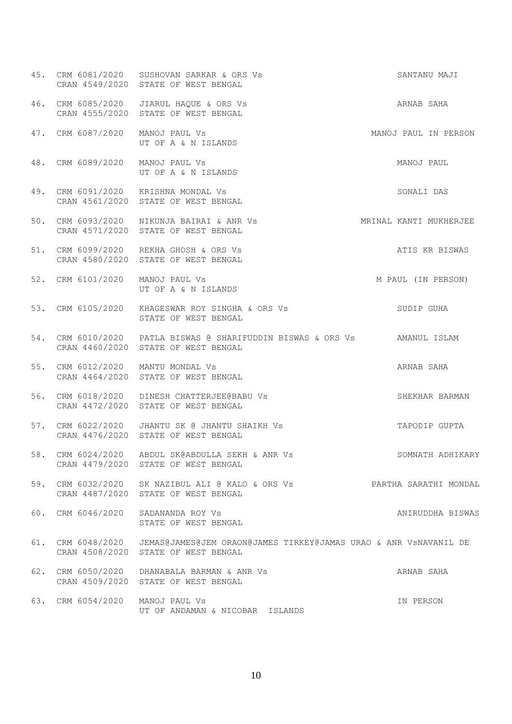|                                 | 45. CRM 6081/2020 SUSHOVAN SARKAR & ORS Vs<br>CRAN 4549/2020 STATE OF WEST BENGAL                                         | SANTANU MAJI           |
|---------------------------------|---------------------------------------------------------------------------------------------------------------------------|------------------------|
|                                 | 46. CRM 6085/2020 JIARUL HAQUE & ORS Vs<br>CRAN 4555/2020 STATE OF WEST BENGAL                                            | ARNAB SAHA             |
| 47. CRM 6087/2020               | MANOJ PAUL Vs<br>UT OF A & N ISLANDS                                                                                      | MANOJ PAUL IN PERSON   |
| 48. CRM 6089/2020 MANOJ PAUL Vs | UT OF A & N ISLANDS                                                                                                       | MANOJ PAUL             |
|                                 | 49. CRM 6091/2020 KRISHNA MONDAL Vs<br>CRAN 4561/2020 STATE OF WEST BENGAL                                                | SONALI DAS             |
|                                 | 50. CRM 6093/2020 NIKUNJA BAIRAI & ANR Vs<br>CRAN 4571/2020 STATE OF WEST BENGAL                                          | MRINAL KANTI MUKHERJEE |
|                                 | 51. CRM 6099/2020 REKHA GHOSH & ORS Vs<br>CRAN 4580/2020 STATE OF WEST BENGAL                                             | ATIS KR BISWAS         |
| 52. CRM 6101/2020 MANOJ PAUL Vs | UT OF A & N ISLANDS                                                                                                       | M PAUL (IN PERSON)     |
|                                 | 53. CRM 6105/2020 KHAGESWAR ROY SINGHA & ORS Vs SUDIP GUHA<br>STATE OF WEST BENGAL                                        |                        |
|                                 | 54. CRM 6010/2020 PATLA BISWAS @ SHARIFUDDIN BISWAS & ORS Vs AMANUL ISLAM<br>CRAN 4460/2020 STATE OF WEST BENGAL          |                        |
|                                 | 55. CRM 6012/2020 MANTU MONDAL Vs<br>CRAN 4464/2020 STATE OF WEST BENGAL                                                  | ARNAB SAHA             |
|                                 | 56. CRM 6018/2020 DINESH CHATTERJEE@BABU Vs<br>CRAN 4472/2020 STATE OF WEST BENGAL                                        | SHEKHAR BARMAN         |
|                                 | 57. CRM 6022/2020 JHANTU SK @ JHANTU SHAIKH Vs<br>CRAN 4476/2020 STATE OF WEST BENGAL                                     | TAPODIP GUPTA          |
|                                 | 58. CRM 6024/2020 ABDUL SK@ABDULLA SEKH & ANR Vs SOMNATH ADHIKARY<br>CRAN 4479/2020 STATE OF WEST BENGAL                  |                        |
|                                 | 59. CRM 6032/2020 SK NAZIBUL ALI @ KALO & ORS Vs 30 PARTHA SARATHI MONDAL<br>CRAN 4487/2020 STATE OF WEST BENGAL          |                        |
| 60. CRM 6046/2020               | SADANANDA ROY Vs<br>STATE OF WEST BENGAL                                                                                  | ANIRUDDHA BISWAS       |
|                                 | 61. CRM 6048/2020 JEMAS@JAMES@JEM ORAON@JAMES TIRKEY@JAMAS URAO & ANR VSNAVANIL DE<br>CRAN 4508/2020 STATE OF WEST BENGAL |                        |
|                                 | 62. CRM 6050/2020 DHANABALA BARMAN & ANR Vs<br>CRAN 4509/2020 STATE OF WEST BENGAL                                        | ARNAB SAHA             |
| 63. CRM 6054/2020 MANOJ PAUL Vs | UT OF ANDAMAN & NICOBAR ISLANDS                                                                                           | IN PERSON              |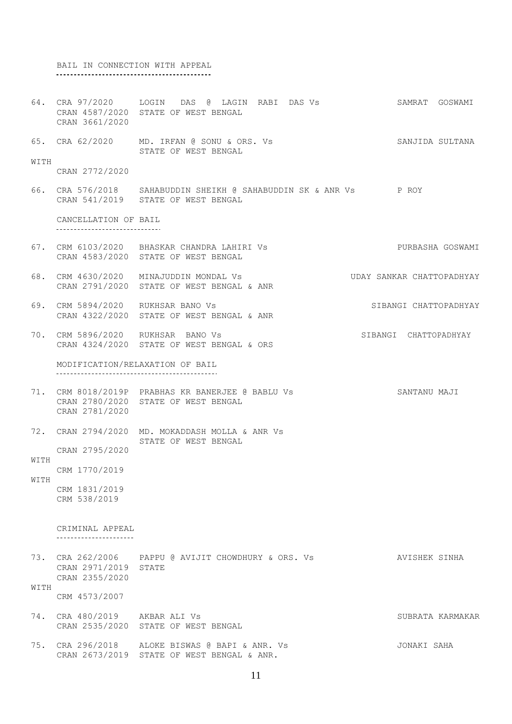BAIL IN CONNECTION WITH APPEAL 

- 64. CRA 97/2020 LOGIN DAS @ LAGIN RABI DAS Vs SAMRAT GOSWAMI CRAN 4587/2020 STATE OF WEST BENGAL CRAN 3661/2020
- 65. CRA 62/2020 MD. IRFAN @ SONU & ORS. Vs SANJIDA SULTANA STATE OF WEST BENGAL

WITH

CRAN 2772/2020

66. CRA 576/2018 SAHABUDDIN SHEIKH @ SAHABUDDIN SK & ANR Vs P ROY CRAN 541/2019 STATE OF WEST BENGAL

CANCELLATION OF BAIL --------------------------------

- 67. CRM 6103/2020 BHASKAR CHANDRA LAHIRI Vs PURBASHA GOSWAMI CRAN 4583/2020 STATE OF WEST BENGAL
- 68. CRM 4630/2020 MINAJUDDIN MONDAL Vs UDAY SANKAR CHATTOPADHYAY CRAN 2791/2020 STATE OF WEST BENGAL & ANR
- 69. CRM 5894/2020 RUKHSAR BANO Vs SIBANGI CHATTOPADHYAY CRAN 4322/2020 STATE OF WEST BENGAL & ANR
- 70. CRM 5896/2020 RUKHSAR BANO Vs SIBANGI CHATTOPADHYAY CRAN 4324/2020 STATE OF WEST BENGAL & ORS

MODIFICATION/RELAXATION OF BAIL 

- 71. CRM 8018/2019P PRABHAS KR BANERJEE @ BABLU Vs SANTANU MAJI CRAN 2780/2020 STATE OF WEST BENGAL CRAN 2781/2020
- 72. CRAN 2794/2020 MD. MOKADDASH MOLLA & ANR Vs STATE OF WEST BENGAL

WITH CRAN 2795/2020

WITH CRM 1770/2019

CRM 1831/2019 CRM 538/2019

CRIMINAL APPEAL -----------------------

- 73. CRA 262/2006 PAPPU @ AVIJIT CHOWDHURY & ORS. Vs AVISHEK SINHA CRAN 2971/2019 STATE CRAN 2355/2020 **WITH** CRM 4573/2007 74. CRA 480/2019 AKBAR ALI Vs SUBRATA KARMAKAR CRAN 2535/2020 STATE OF WEST BENGAL
- 75. CRA 296/2018 ALOKE BISWAS @ BAPI & ANR. Vs JONAKI SAHA CRAN 2673/2019 STATE OF WEST BENGAL & ANR.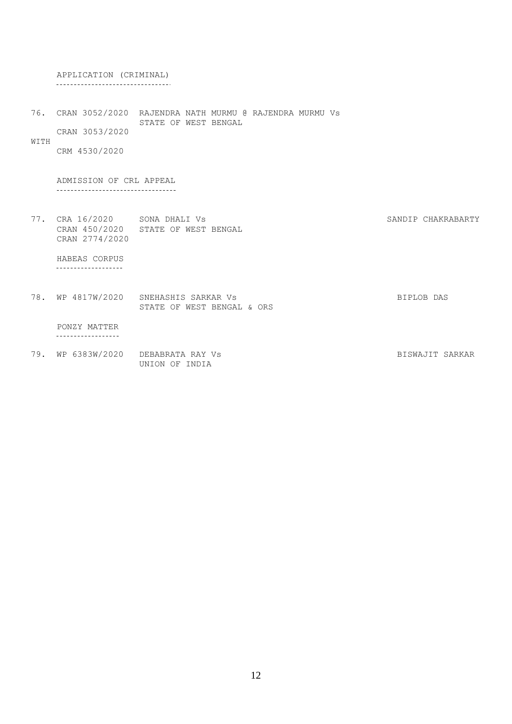APPLICATION (CRIMINAL) ..................................

- 76. CRAN 3052/2020 RAJENDRA NATH MURMU @ RAJENDRA MURMU Vs STATE OF WEST BENGAL
- WITH CRAN 3053/2020
	- CRM 4530/2020

ADMISSION OF CRL APPEAL 

- 77. CRA 16/2020 SONA DHALI Vs SANDIP CHAKRABARTY CRAN 450/2020 STATE OF WEST BENGAL CRAN 2774/2020 HABEAS CORPUS
- 78. WP 4817W/2020 SNEHASHIS SARKAR Vs **BIPLOB DAS** STATE OF WEST BENGAL & ORS

PONZY MATTER

79. WP 6383W/2020 DEBABRATA RAY Vs Sand Control of the BISWAJIT SARKAR UNION OF INDIA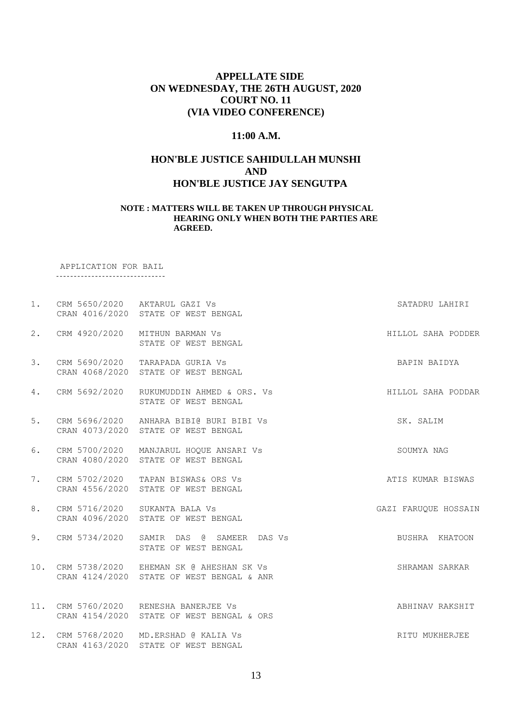### **APPELLATE SIDE ON WEDNESDAY, THE 26TH AUGUST, 2020 COURT NO. 11 (VIA VIDEO CONFERENCE)**

### **11:00 A.M.**

### **HON'BLE JUSTICE SAHIDULLAH MUNSHI AND HON'BLE JUSTICE JAY SENGUTPA**

#### **NOTE : MATTERS WILL BE TAKEN UP THROUGH PHYSICAL HEARING ONLY WHEN BOTH THE PARTIES ARE AGREED.**

APPLICATION FOR BAIL --------------------------------

| 1. |               | CRM 5650/2020 AKTARUL GAZI Vs<br>CRAN 4016/2020 STATE OF WEST BENGAL                     | SATADRU LAHIRI       |
|----|---------------|------------------------------------------------------------------------------------------|----------------------|
| 2. | CRM 4920/2020 | MITHUN BARMAN Vs<br>STATE OF WEST BENGAL                                                 | HILLOL SAHA PODDER   |
| 3. |               | CRM 5690/2020 TARAPADA GURIA Vs<br>CRAN 4068/2020 STATE OF WEST BENGAL                   | BAPIN BAIDYA         |
| 4. |               | CRM 5692/2020 RUKUMUDDIN AHMED & ORS. Vs<br>STATE OF WEST BENGAL                         | HILLOL SAHA PODDAR   |
| 5. |               | CRM 5696/2020 ANHARA BIBI@ BURI BIBI Vs<br>CRAN 4073/2020 STATE OF WEST BENGAL           | SK. SALIM            |
| 6. |               | CRM 5700/2020 MANJARUL HOQUE ANSARI VS<br>CRAN 4080/2020 STATE OF WEST BENGAL            | SOUMYA NAG           |
| 7. |               | CRM 5702/2020 TAPAN BISWAS& ORS Vs<br>CRAN 4556/2020 STATE OF WEST BENGAL                | ATIS KUMAR BISWAS    |
| 8. |               | CRM 5716/2020 SUKANTA BALA Vs<br>CRAN 4096/2020 STATE OF WEST BENGAL                     | GAZI FARUOUE HOSSAIN |
| 9. |               | CRM 5734/2020 SAMIR DAS @ SAMEER DAS Vs BUSHRA KHATOON<br>STATE OF WEST BENGAL           |                      |
|    |               | 10. CRM 5738/2020 EHEMAN SK @ AHESHAN SK Vs<br>CRAN 4124/2020 STATE OF WEST BENGAL & ANR | SHRAMAN SARKAR       |
|    |               | 11. CRM 5760/2020 RENESHA BANERJEE Vs<br>CRAN 4154/2020 STATE OF WEST BENGAL & ORS       | ABHINAV RAKSHIT      |
|    |               | 12. CRM 5768/2020 MD. ERSHAD @ KALIA Vs<br>CRAN 4163/2020 STATE OF WEST BENGAL           | RITU MUKHERJEE       |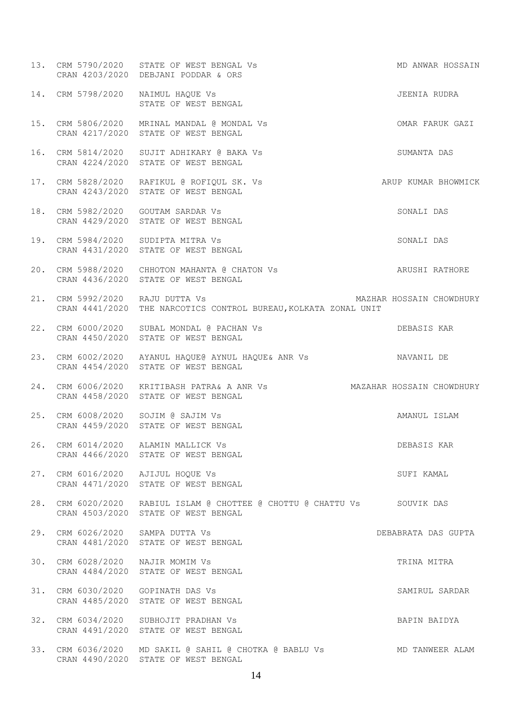|                                  | 13. CRM 5790/2020 STATE OF WEST BENGAL Vs<br>CRAN 4203/2020 DEBJANI PODDAR & ORS                                | MD ANWAR HOSSAIN    |
|----------------------------------|-----------------------------------------------------------------------------------------------------------------|---------------------|
|                                  | 14. CRM 5798/2020 NAIMUL HAQUE Vs<br>STATE OF WEST BENGAL                                                       | JEENIA RUDRA        |
|                                  | 15. CRM 5806/2020 MRINAL MANDAL @ MONDAL Vs<br>CRAN 4217/2020 STATE OF WEST BENGAL                              | OMAR FARUK GAZI     |
|                                  | 16. CRM 5814/2020 SUJIT ADHIKARY @ BAKA Vs<br>CRAN 4224/2020 STATE OF WEST BENGAL                               | SUMANTA DAS         |
|                                  | 17. CRM 5828/2020 RAFIKUL @ ROFIQUL SK. Vs<br>CRAN 4243/2020 STATE OF WEST BENGAL                               | ARUP KUMAR BHOWMICK |
|                                  | 18. CRM 5982/2020 GOUTAM SARDAR Vs<br>CRAN 4429/2020 STATE OF WEST BENGAL                                       | SONALI DAS          |
|                                  | 19. CRM 5984/2020 SUDIPTA MITRA Vs<br>CRAN 4431/2020 STATE OF WEST BENGAL                                       | SONALI DAS          |
|                                  | 20. CRM 5988/2020 CHHOTON MAHANTA @ CHATON Vs <b>ARUSHI RATHORE</b><br>CRAN 4436/2020 STATE OF WEST BENGAL      |                     |
| 21. CRM 5992/2020 RAJU DUTTA Vs  | MAZHAR HOSSAIN CHOWDHURY<br>CRAN 4441/2020 THE NARCOTICS CONTROL BUREAU, KOLKATA ZONAL UNIT                     |                     |
|                                  | DEBASIS KAR<br>22. CRM 6000/2020 SUBAL MONDAL @ PACHAN Vs<br>CRAN 4450/2020 STATE OF WEST BENGAL                |                     |
|                                  | 23. CRM 6002/2020 AYANUL HAQUE@ AYNUL HAQUE& ANR Vs MAVANIL DE<br>CRAN 4454/2020 STATE OF WEST BENGAL           |                     |
|                                  | 24. CRM 6006/2020 KRITIBASH PATRA& A ANR Vs MAZAHAR HOSSAIN CHOWDHURY<br>CRAN 4458/2020 STATE OF WEST BENGAL    |                     |
|                                  | 25. CRM 6008/2020 SOJIM @ SAJIM Vs<br>CRAN 4459/2020 STATE OF WEST BENGAL                                       | AMANUL ISLAM        |
|                                  | 26. CRM 6014/2020 ALAMIN MALLICK Vs<br>CRAN 4466/2020 STATE OF WEST BENGAL                                      | DEBASIS KAR         |
|                                  | 27. CRM 6016/2020 AJIJUL HOQUE Vs<br>CRAN 4471/2020 STATE OF WEST BENGAL                                        | SUFI KAMAL          |
|                                  | 28. CRM 6020/2020 RABIUL ISLAM @ CHOTTEE @ CHOTTU @ CHATTU Vs SOUVIK DAS<br>CRAN 4503/2020 STATE OF WEST BENGAL |                     |
| 29. CRM 6026/2020 SAMPA DUTTA Vs | CRAN 4481/2020 STATE OF WEST BENGAL                                                                             | DEBABRATA DAS GUPTA |
| 30. CRM 6028/2020 NAJIR MOMIM Vs | CRAN 4484/2020 STATE OF WEST BENGAL                                                                             | TRINA MITRA         |
|                                  | 31. CRM 6030/2020 GOPINATH DAS Vs<br>CRAN 4485/2020 STATE OF WEST BENGAL                                        | SAMIRUL SARDAR      |
|                                  | 32. CRM 6034/2020 SUBHOJIT PRADHAN Vs<br>CRAN 4491/2020 STATE OF WEST BENGAL                                    | BAPIN BAIDYA        |
|                                  | 33. CRM 6036/2020 MD SAKIL @ SAHIL @ CHOTKA @ BABLU Vs MD TANWEER ALAM<br>CRAN 4490/2020 STATE OF WEST BENGAL   |                     |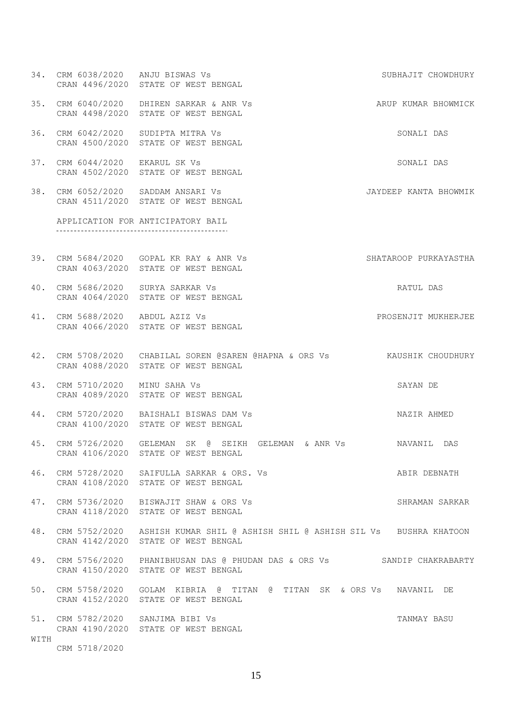|      | 34. CRM 6038/2020 ANJU BISWAS Vs  | CRAN 4496/2020 STATE OF WEST BENGAL                                                                                 | SUBHAJIT CHOWDHURY    |
|------|-----------------------------------|---------------------------------------------------------------------------------------------------------------------|-----------------------|
|      |                                   | 35. CRM 6040/2020 DHIREN SARKAR & ANR Vs<br>CRAN 4498/2020 STATE OF WEST BENGAL                                     | ARUP KUMAR BHOWMICK   |
|      |                                   | 36. CRM 6042/2020 SUDIPTA MITRA Vs<br>CRAN 4500/2020 STATE OF WEST BENGAL                                           | SONALI DAS            |
|      | 37. CRM 6044/2020 EKARUL SK Vs    | CRAN 4502/2020 STATE OF WEST BENGAL                                                                                 | SONALI DAS            |
|      |                                   | 38. CRM 6052/2020 SADDAM ANSARI Vs<br>CRAN 4511/2020 STATE OF WEST BENGAL                                           | JAYDEEP KANTA BHOWMIK |
|      |                                   | APPLICATION FOR ANTICIPATORY BAIL                                                                                   |                       |
|      |                                   | 39. CRM 5684/2020 GOPAL KR RAY & ANR Vs<br>CRAN 4063/2020 STATE OF WEST BENGAL                                      | SHATAROOP PURKAYASTHA |
|      | 40. CRM 5686/2020 SURYA SARKAR Vs | CRAN 4064/2020 STATE OF WEST BENGAL                                                                                 | RATUL DAS             |
|      | 41. CRM 5688/2020 ABDUL AZIZ Vs   | CRAN 4066/2020 STATE OF WEST BENGAL                                                                                 | PROSENJIT MUKHERJEE   |
|      |                                   | 42. CRM 5708/2020 CHABILAL SOREN @SAREN @HAPNA & ORS Vs KAUSHIK CHOUDHURY<br>CRAN 4088/2020 STATE OF WEST BENGAL    |                       |
|      | 43. CRM 5710/2020 MINU SAHA Vs    | CRAN 4089/2020 STATE OF WEST BENGAL                                                                                 | SAYAN DE              |
|      |                                   | 44. CRM 5720/2020 BAISHALI BISWAS DAM Vs<br>CRAN 4100/2020 STATE OF WEST BENGAL                                     | NAZIR AHMED           |
|      |                                   | 45. CRM 5726/2020 GELEMAN SK @ SEIKH GELEMAN & ANR Vs MAVANIL DAS<br>CRAN 4106/2020 STATE OF WEST BENGAL            |                       |
|      |                                   | 46. CRM 5728/2020 SAIFULLA SARKAR & ORS. Vs<br>CRAN 4108/2020 STATE OF WEST BENGAL                                  | ABIR DEBNATH          |
|      |                                   | 47. CRM 5736/2020 BISWAJIT SHAW & ORS Vs<br>CRAN 4118/2020 STATE OF WEST BENGAL                                     | SHRAMAN SARKAR        |
| 48.  |                                   | CRM 5752/2020 ASHISH KUMAR SHIL @ ASHISH SHIL @ ASHISH SIL Vs BUSHRA KHATOON<br>CRAN 4142/2020 STATE OF WEST BENGAL |                       |
|      |                                   | 49. CRM 5756/2020 PHANIBHUSAN DAS @ PHUDAN DAS & ORS Vs SANDIP CHAKRABARTY<br>CRAN 4150/2020 STATE OF WEST BENGAL   |                       |
|      |                                   | 50. CRM 5758/2020 GOLAM KIBRIA @ TITAN @ TITAN SK & ORS Vs NAVANIL DE<br>CRAN 4152/2020 STATE OF WEST BENGAL        |                       |
| WITH | 51. CRM 5782/2020 SANJIMA BIBI Vs | CRAN 4190/2020 STATE OF WEST BENGAL                                                                                 | TANMAY BASU           |
|      | CRM 5718/2020                     |                                                                                                                     |                       |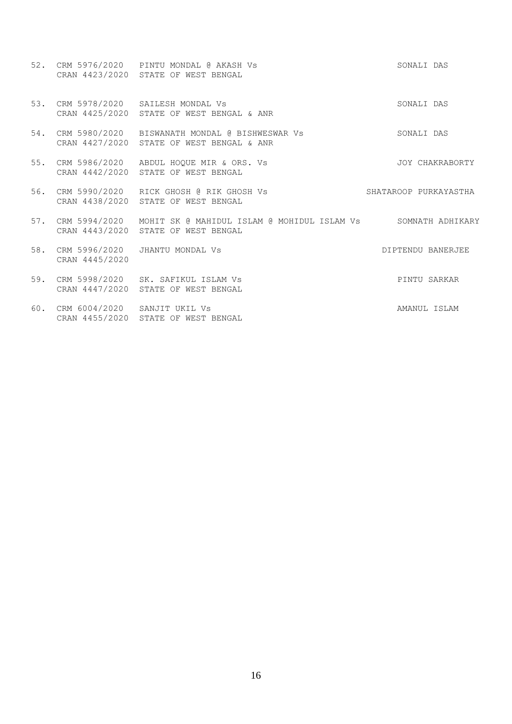|     |                                                | 52. CRM 5976/2020 PINTU MONDAL @ AKASH Vs<br>CRAN 4423/2020 STATE OF WEST BENGAL                                             | SONALI DAS            |
|-----|------------------------------------------------|------------------------------------------------------------------------------------------------------------------------------|-----------------------|
| 53. |                                                | CRM 5978/2020 SAILESH MONDAL Vs<br>CRAN 4425/2020 STATE OF WEST BENGAL & ANR                                                 | SONALI DAS            |
| 54. |                                                | CRM 5980/2020 BISWANATH MONDAL @ BISHWESWAR Vs                       SONALI DAS<br>CRAN 4427/2020 STATE OF WEST BENGAL & ANR |                       |
| 55. |                                                | CRM 5986/2020 ABDUL HOQUE MIR & ORS. Vs<br>CRAN 4442/2020 STATE OF WEST BENGAL                                               | JOY CHAKRABORTY       |
|     |                                                | 56. CRM 5990/2020 RICK GHOSH @ RIK GHOSH Vs<br>CRAN 4438/2020 STATE OF WEST BENGAL                                           | SHATAROOP PURKAYASTHA |
| 57. |                                                | CRM 5994/2020   MOHIT SK @ MAHIDUL ISLAM @ MOHIDUL ISLAM Vs         SOMNATH ADHIKARY<br>CRAN 4443/2020 STATE OF WEST BENGAL  |                       |
| 58. | CRAN 4445/2020                                 | CRM 5996/2020 JHANTU MONDAL Vs                                                                                               | DIPTENDU BANERJEE     |
| 59. |                                                | CRM 5998/2020 SK. SAFIKUL ISLAM Vs<br>CRAN 4447/2020 STATE OF WEST BENGAL                                                    | PINTU SARKAR          |
| 60. | CRM 6004/2020 SANJIT UKIL Vs<br>CRAN 4455/2020 | STATE OF WEST BENGAL                                                                                                         | AMANUL ISLAM          |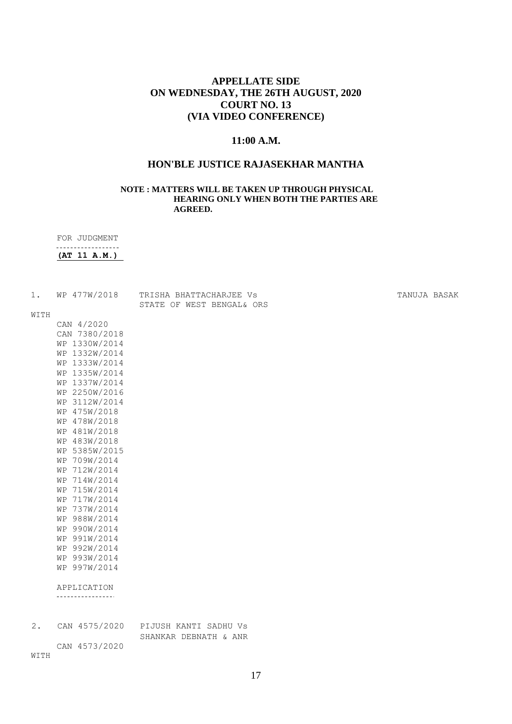### **APPELLATE SIDE ON WEDNESDAY, THE 26TH AUGUST, 2020 COURT NO. 13 (VIA VIDEO CONFERENCE)**

#### **11:00 A.M.**

#### **HON'BLE JUSTICE RAJASEKHAR MANTHA**

#### **NOTE : MATTERS WILL BE TAKEN UP THROUGH PHYSICAL HEARING ONLY WHEN BOTH THE PARTIES ARE AGREED.**

FOR JUDGMENT

------------------**(AT 11 A.M.)** 

1. WP 477W/2018 TRISHA BHATTACHARJEE Vs TANUJA BASAK

|      |               |  | STATE OF WEST BENGAL& ORS |  |
|------|---------------|--|---------------------------|--|
| WITH |               |  |                           |  |
|      | CAN 4/2020    |  |                           |  |
|      | CAN 7380/2018 |  |                           |  |
|      | WP 1330W/2014 |  |                           |  |
|      | WP 1332W/2014 |  |                           |  |
|      | WP 1333W/2014 |  |                           |  |

WP 1335W/2014 WP 1337W/2014 WP 2250W/2016 WP 3112W/2014 WP 475W/2018 WP 478W/2018 WP 481W/2018 WP 483W/2018 WP 5385W/2015 WP 709W/2014 WP 712W/2014 WP 714W/2014 WP 715W/2014 WP 717W/2014 WP 737W/2014 WP 988W/2014 WP 990W/2014 WP 991W/2014 WP 992W/2014 WP 993W/2014 WP 997W/2014

APPLICATION . . . . . . . . . . . . . . . . . .

2. CAN 4575/2020 PIJUSH KANTI SADHU Vs SHANKAR DEBNATH & ANR CAN 4573/2020

WITH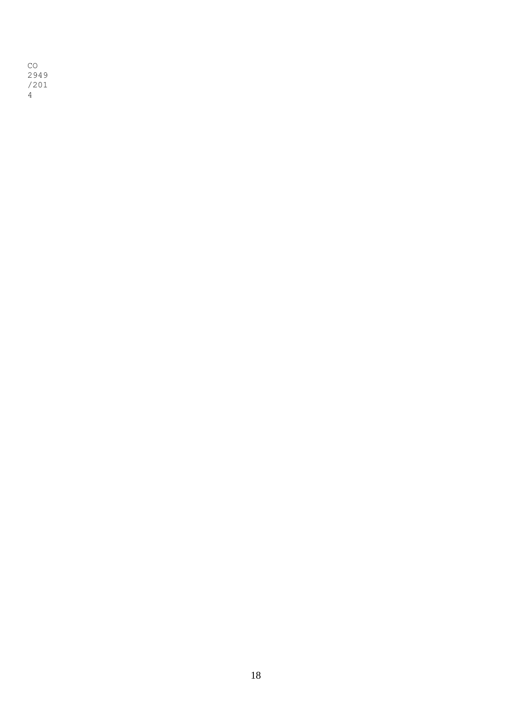CO 2949 /201 4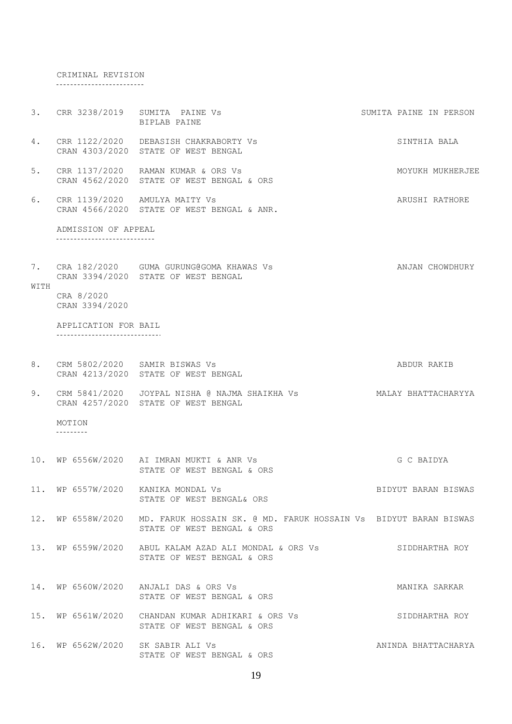CRIMINAL REVISION

|      |                                                       | 3. CRR 3238/2019 SUMITA PAINE Vs<br>BIPLAB PAINE                                                                 | SUMITA PAINE IN PERSON |
|------|-------------------------------------------------------|------------------------------------------------------------------------------------------------------------------|------------------------|
| 4.   |                                                       | CRR 1122/2020 DEBASISH CHAKRABORTY Vs<br>CRAN 4303/2020 STATE OF WEST BENGAL                                     | SINTHIA BALA           |
| 5.   |                                                       | CRR 1137/2020 RAMAN KUMAR & ORS Vs<br>CRAN 4562/2020 STATE OF WEST BENGAL & ORS                                  | MOYUKH MUKHERJEE       |
|      |                                                       | 6. CRR 1139/2020 AMULYA MAITY Vs<br>CRAN 4566/2020 STATE OF WEST BENGAL & ANR.                                   | ARUSHI RATHORE         |
|      | ADMISSION OF APPEAL<br>------------------------------ |                                                                                                                  |                        |
|      |                                                       |                                                                                                                  |                        |
| WITH |                                                       | 7. CRA 182/2020 GUMA GURUNG@GOMA KHAWAS Vs<br>CRAN 3394/2020 STATE OF WEST BENGAL                                | ANJAN CHOWDHURY        |
|      | CRA 8/2020<br>CRAN 3394/2020                          |                                                                                                                  |                        |
|      | APPLICATION FOR BAIL<br>----------------------------  |                                                                                                                  |                        |
|      |                                                       |                                                                                                                  |                        |
| 8.   |                                                       | CRM 5802/2020 SAMIR BISWAS Vs<br>CRAN 4213/2020 STATE OF WEST BENGAL                                             | ABDUR RAKIB            |
| 9.   |                                                       | CRM 5841/2020 JOYPAL NISHA @ NAJMA SHAIKHA Vs<br>CRAN 4257/2020 STATE OF WEST BENGAL                             | MALAY BHATTACHARYYA    |
|      | MOTION<br>---------                                   |                                                                                                                  |                        |
|      |                                                       | 10. WP 6556W/2020 AI IMRAN MUKTI & ANR Vs<br>STATE OF WEST BENGAL & ORS                                          | G C BAIDYA             |
|      |                                                       | 11. WP 6557W/2020 KANIKA MONDAL Vs<br>STATE OF WEST BENGAL& ORS                                                  | BIDYUT BARAN BISWAS    |
|      |                                                       | 12. WP 6558W/2020 MD. FARUK HOSSAIN SK. @ MD. FARUK HOSSAIN Vs BIDYUT BARAN BISWAS<br>STATE OF WEST BENGAL & ORS |                        |
|      |                                                       | 13. WP 6559W/2020 ABUL KALAM AZAD ALI MONDAL & ORS Vs<br>STATE OF WEST BENGAL & ORS                              | SIDDHARTHA ROY         |
|      |                                                       | 14. WP 6560W/2020 ANJALI DAS & ORS Vs<br>STATE OF WEST BENGAL & ORS                                              | MANIKA SARKAR          |
|      |                                                       | 15. WP 6561W/2020 CHANDAN KUMAR ADHIKARI & ORS Vs<br>STATE OF WEST BENGAL & ORS                                  | SIDDHARTHA ROY         |
|      |                                                       | 16. WP 6562W/2020 SK SABIR ALI Vs<br>STATE OF WEST BENGAL & ORS                                                  | ANINDA BHATTACHARYA    |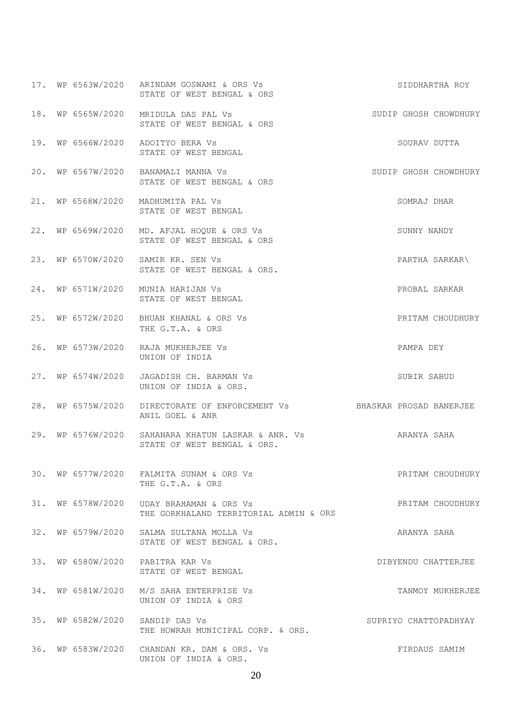|                   | 17. WP 6563W/2020 ARINDAM GOSWAMI & ORS Vs<br>STATE OF WEST BENGAL & ORS                   | SIDDHARTHA ROY        |
|-------------------|--------------------------------------------------------------------------------------------|-----------------------|
|                   | 18. WP 6565W/2020 MRIDULA DAS PAL Vs<br>STATE OF WEST BENGAL & ORS                         | SUDIP GHOSH CHOWDHURY |
|                   | 19. WP 6566W/2020 ADOITYO BERA Vs<br>STATE OF WEST BENGAL                                  | SOURAV DUTTA          |
|                   | 20. WP 6567W/2020 BANAMALI MANNA Vs<br>STATE OF WEST BENGAL & ORS                          | SUDIP GHOSH CHOWDHURY |
|                   | 21. WP 6568W/2020 MADHUMITA PAL Vs<br>STATE OF WEST BENGAL                                 | SOMRAJ DHAR           |
|                   | 22. WP 6569W/2020 MD. AFJAL HOQUE & ORS Vs<br>STATE OF WEST BENGAL & ORS                   | SUNNY NANDY           |
|                   | 23. WP 6570W/2020 SAMIR KR. SEN Vs<br>STATE OF WEST BENGAL & ORS.                          | PARTHA SARKAR\        |
| 24. WP 6571W/2020 | MUNIA HARIJAN Vs<br>STATE OF WEST BENGAL                                                   | PROBAL SARKAR         |
|                   | 25. WP 6572W/2020 BHUAN KHANAL & ORS Vs<br>THE G.T.A. & ORS                                | PRITAM CHOUDHURY      |
|                   | 26. WP 6573W/2020 RAJA MUKHERJEE Vs<br>UNION OF INDIA                                      | PAMPA DEY             |
|                   | 27. WP 6574W/2020 JAGADISH CH. BARMAN Vs<br>UNION OF INDIA & ORS.                          | SUBIR SABUD           |
|                   | 28. WP 6575W/2020 DIRECTORATE OF ENFORCEMENT Vs BHASKAR PROSAD BANERJEE<br>ANIL GOEL & ANR |                       |
|                   | 29. WP 6576W/2020 - SAHANARA KHATUN LASKAR & ANR. Vs<br>STATE OF WEST BENGAL & ORS.        | ARANYA SAHA           |
|                   | 30. WP 6577W/2020 FALMITA SUNAM & ORS Vs<br>THE G.T.A. & ORS                               | PRITAM CHOUDHURY      |
|                   | 31. WP 6578W/2020    UDAY BRAHAMAN & ORS Vs<br>THE GORKHALAND TERRITORIAL ADMIN & ORS      | PRITAM CHOUDHURY      |
|                   | 32. WP 6579W/2020 SALMA SULTANA MOLLA Vs<br>STATE OF WEST BENGAL & ORS.                    | ARANYA SAHA           |
|                   | 33. WP 6580W/2020 PABITRA KAR Vs<br>STATE OF WEST BENGAL                                   | DIBYENDU CHATTERJEE   |
|                   | 34. WP 6581W/2020 M/S SAHA ENTERPRISE Vs<br>UNION OF INDIA & ORS                           | TANMOY MUKHERJEE      |
|                   | 35. WP 6582W/2020 SANDIP DAS Vs<br>THE HOWRAH MUNICIPAL CORP. & ORS.                       | SUPRIYO CHATTOPADHYAY |
|                   | 36. WP 6583W/2020 CHANDAN KR. DAM & ORS. Vs<br>UNION OF INDIA & ORS.                       | FIRDAUS SAMIM         |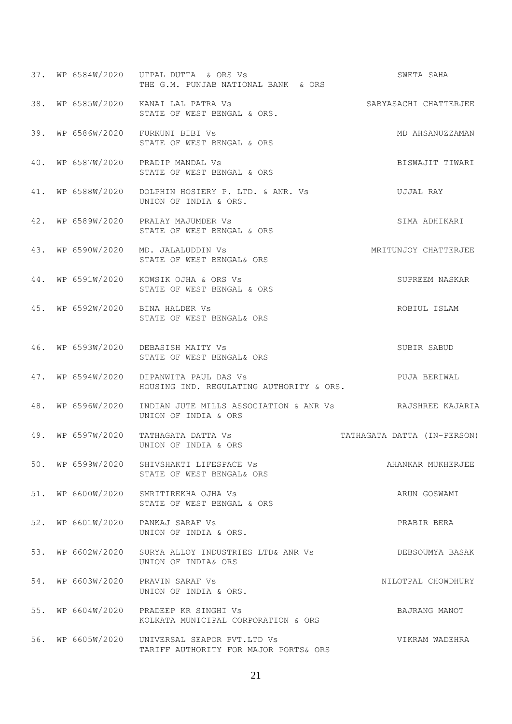|                                  | 37. WP 6584W/2020 UTPAL DUTTA & ORS Vs<br>THE G.M. PUNJAB NATIONAL BANK & ORS                 | SWETA SAHA                  |
|----------------------------------|-----------------------------------------------------------------------------------------------|-----------------------------|
|                                  | 38. WP 6585W/2020 KANAI LAL PATRA Vs<br>STATE OF WEST BENGAL & ORS.                           | SABYASACHI CHATTERJEE       |
|                                  | 39. WP 6586W/2020 FURKUNI BIBI Vs<br>STATE OF WEST BENGAL & ORS                               | MD AHSANUZZAMAN             |
|                                  | 40. WP 6587W/2020 PRADIP MANDAL Vs<br>STATE OF WEST BENGAL & ORS                              | BISWAJIT TIWARI             |
|                                  | 41. WP 6588W/2020 DOLPHIN HOSIERY P. LTD. & ANR. Vs<br>UNION OF INDIA & ORS.                  | UJJAL RAY                   |
|                                  | 42. WP 6589W/2020 PRALAY MAJUMDER Vs<br>STATE OF WEST BENGAL & ORS                            | SIMA ADHIKARI               |
| 43. WP 6590W/2020                | MD. JALALUDDIN Vs<br>STATE OF WEST BENGAL& ORS                                                | MRITUNJOY CHATTERJEE        |
|                                  | 44. WP 6591W/2020 KOWSIK OJHA & ORS Vs<br>STATE OF WEST BENGAL & ORS                          | SUPREEM NASKAR              |
| 45. WP 6592W/2020 BINA HALDER Vs | STATE OF WEST BENGAL& ORS                                                                     | ROBIUL ISLAM                |
|                                  | 46. WP 6593W/2020 DEBASISH MAITY Vs<br>STATE OF WEST BENGAL& ORS                              | SUBIR SABUD                 |
|                                  | 47. WP 6594W/2020 DIPANWITA PAUL DAS Vs<br>HOUSING IND. REGULATING AUTHORITY & ORS.           | PUJA BERIWAL                |
| 48. WP 6596W/2020                | INDIAN JUTE MILLS ASSOCIATION & ANR Vs <b>EXAGLA</b> RAJSHREE KAJARIA<br>UNION OF INDIA & ORS |                             |
|                                  | 49. WP 6597W/2020 TATHAGATA DATTA Vs<br>UNION OF INDIA & ORS                                  | TATHAGATA DATTA (IN-PERSON) |
|                                  | 50. WP 6599W/2020 SHIVSHAKTI LIFESPACE Vs<br>STATE OF WEST BENGAL& ORS                        | AHANKAR MUKHERJEE           |
|                                  | 51. WP 6600W/2020 SMRITIREKHA OJHA Vs<br>STATE OF WEST BENGAL & ORS                           | ARUN GOSWAMI                |
|                                  | 52. WP 6601W/2020 PANKAJ SARAF Vs<br>UNION OF INDIA & ORS.                                    | PRABIR BERA                 |
| 53. WP 6602W/2020                | SURYA ALLOY INDUSTRIES LTD& ANR Vs<br>UNION OF INDIA& ORS                                     | DEBSOUMYA BASAK             |
|                                  | 54. WP 6603W/2020 PRAVIN SARAF Vs<br>UNION OF INDIA & ORS.                                    | NILOTPAL CHOWDHURY          |
|                                  | 55. WP 6604W/2020 PRADEEP KR SINGHI Vs<br>KOLKATA MUNICIPAL CORPORATION & ORS                 | BAJRANG MANOT               |
|                                  | 56. WP 6605W/2020 UNIVERSAL SEAPOR PVT.LTD Vs<br>TARIFF AUTHORITY FOR MAJOR PORTS& ORS        | VIKRAM WADEHRA              |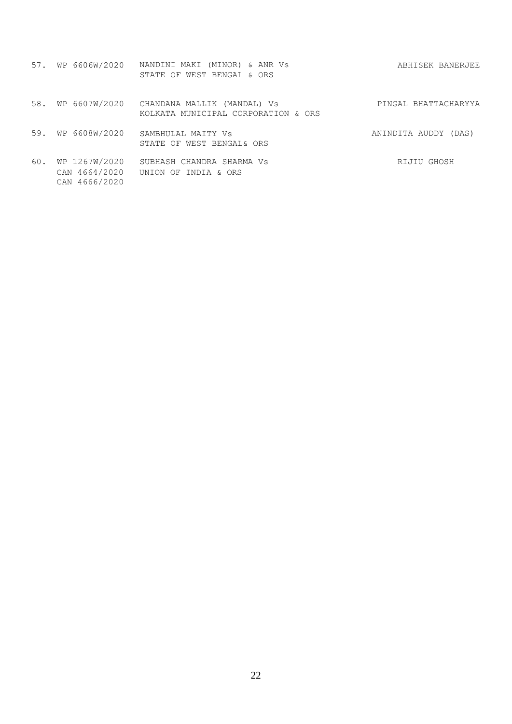| 57. | WP 6606W/2020                                   | NANDINI MAKI (MINOR) & ANR VS<br>STATE OF WEST BENGAL & ORS        | ABHISEK BANERJEE     |
|-----|-------------------------------------------------|--------------------------------------------------------------------|----------------------|
| 58. | WP 6607W/2020                                   | CHANDANA MALLIK (MANDAL) Vs<br>KOLKATA MUNICIPAL CORPORATION & ORS | PINGAL BHATTACHARYYA |
| 59. | WP 6608W/2020                                   | SAMBHULAL MAITY Vs<br>STATE OF WEST BENGAL& ORS                    | ANINDITA AUDDY (DAS) |
| 60. | WP 1267W/2020<br>CAN 4664/2020<br>CAN 4666/2020 | SUBHASH CHANDRA SHARMA Vs<br>UNION OF INDIA & ORS                  | RIJIU GHOSH          |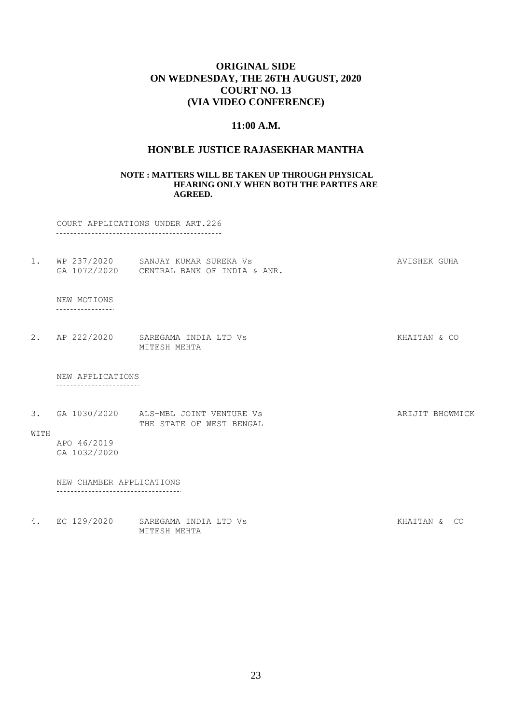### **ORIGINAL SIDE ON WEDNESDAY, THE 26TH AUGUST, 2020 COURT NO. 13 (VIA VIDEO CONFERENCE)**

#### **11:00 A.M.**

### **HON'BLE JUSTICE RAJASEKHAR MANTHA**

#### **NOTE : MATTERS WILL BE TAKEN UP THROUGH PHYSICAL HEARING ONLY WHEN BOTH THE PARTIES ARE AGREED.**

COURT APPLICATIONS UNDER ART.226 

| 1. WP 237/2020 | SANJAY KUMAR SUREKA Vs       | AVISHEK GUHA |  |
|----------------|------------------------------|--------------|--|
| GA 1072/2020   | CENTRAL BANK OF INDIA & ANR. |              |  |

NEW MOTIONS

2. AP 222/2020 SAREGAMA INDIA LTD Vs KHAITAN & CO MITESH MEHTA

NEW APPLICATIONS ------------------------

3. GA 1030/2020 ALS-MBL JOINT VENTURE Vs ARIJIT BHOWMICK THE STATE OF WEST BENGAL WITH

APO 46/2019 GA 1032/2020

NEW CHAMBER APPLICATIONS 

| 4<br>. . | ᅲᅎ<br>U.<br>口し<br>ں ہے ، | m.<br>GΔMΔ<br>V S<br>-NH<br>۵Δ.<br>▵  | AIN | $\sim$ |
|----------|--------------------------|---------------------------------------|-----|--------|
|          |                          | ᄓᅲ<br>∴ים ידי<br>IVI H'<br>د .<br>ιvι |     |        |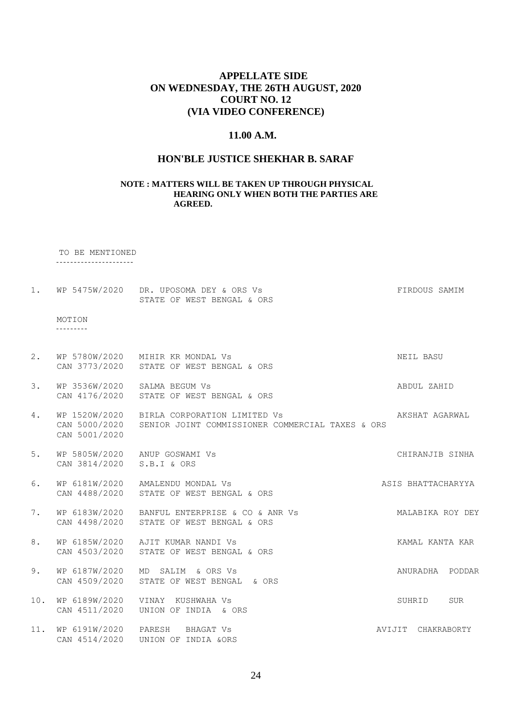### **APPELLATE SIDE ON WEDNESDAY, THE 26TH AUGUST, 2020 COURT NO. 12 (VIA VIDEO CONFERENCE)**

### **11.00 A.M.**

### **HON'BLE JUSTICE SHEKHAR B. SARAF**

#### **NOTE : MATTERS WILL BE TAKEN UP THROUGH PHYSICAL HEARING ONLY WHEN BOTH THE PARTIES ARE AGREED.**

TO BE MENTIONED

| 1.  | WP 5475W/2020                                   | DR. UPOSOMA DEY & ORS Vs<br>STATE OF WEST BENGAL & ORS                           | FIRDOUS SAMIM         |
|-----|-------------------------------------------------|----------------------------------------------------------------------------------|-----------------------|
|     | MOTION                                          |                                                                                  |                       |
| 2.  | CAN 3773/2020                                   | WP 5780W/2020 MIHIR KR MONDAL Vs<br>STATE OF WEST BENGAL & ORS                   | NEIL BASU             |
| 3.  | WP 3536W/2020<br>CAN 4176/2020                  | SALMA BEGUM Vs<br>STATE OF WEST BENGAL & ORS                                     | ABDUL ZAHID           |
| 4.  | WP 1520W/2020<br>CAN 5000/2020<br>CAN 5001/2020 | BIRLA CORPORATION LIMITED Vs<br>SENIOR JOINT COMMISSIONER COMMERCIAL TAXES & ORS | AKSHAT AGARWAL        |
| 5.  | CAN 3814/2020                                   | WP 5805W/2020 ANUP GOSWAMI Vs<br>S.B.I & ORS                                     | CHIRANJIB SINHA       |
| 6.  | WP 6181W/2020<br>CAN 4488/2020                  | AMALENDU MONDAL VS<br>STATE OF WEST BENGAL & ORS                                 | ASIS BHATTACHARYYA    |
| 7.  | WP 6183W/2020<br>CAN 4498/2020                  | BANFUL ENTERPRISE & CO & ANR Vs<br>STATE OF WEST BENGAL & ORS                    | MALABIKA ROY DEY      |
| 8.  | CAN 4503/2020                                   | WP 6185W/2020 AJIT KUMAR NANDI Vs<br>STATE OF WEST BENGAL & ORS                  | KAMAL KANTA KAR       |
| 9.  | WP 6187W/2020<br>CAN 4509/2020                  | SALIM & ORS Vs<br>MD<br>STATE OF WEST BENGAL & ORS                               | ANURADHA PODDAR       |
| 10. | WP 6189W/2020<br>CAN 4511/2020                  | VINAY KUSHWAHA Vs<br>UNION OF INDIA & ORS                                        | SUR<br>SUHRID         |
| 11. | WP 6191W/2020 PARESH<br>CAN 4514/2020           | BHAGAT Vs<br>UNION OF INDIA &ORS                                                 | AVIJIT<br>CHAKRABORTY |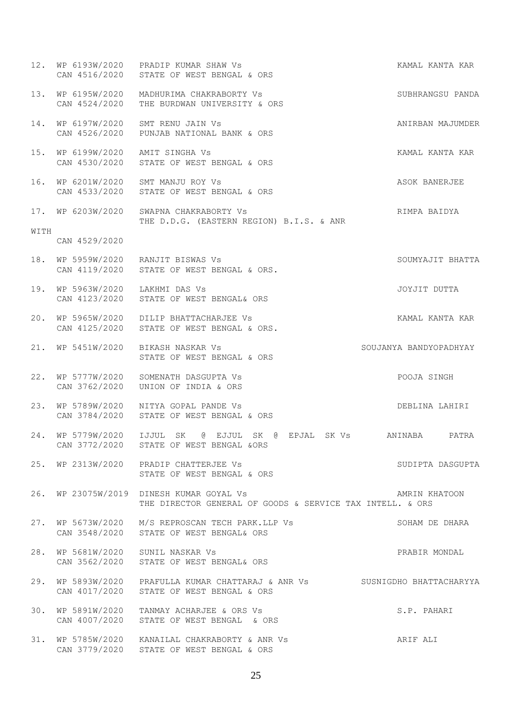|      |                                               | 12. WP 6193W/2020 PRADIP KUMAR SHAW Vs<br>CAN 4516/2020 STATE OF WEST BENGAL & ORS                                               | KAMAL KANTA KAR        |
|------|-----------------------------------------------|----------------------------------------------------------------------------------------------------------------------------------|------------------------|
|      | 13. WP 6195W/2020<br>CAN 4524/2020            | MADHURIMA CHAKRABORTY Vs<br>THE BURDWAN UNIVERSITY & ORS                                                                         | SUBHRANGSU PANDA       |
| 14.  | CAN 4526/2020                                 | WP 6197W/2020 SMT RENU JAIN Vs<br>PUNJAB NATIONAL BANK & ORS                                                                     | ANIRBAN MAJUMDER       |
| 15.  | WP 6199W/2020 AMIT SINGHA Vs<br>CAN 4530/2020 | STATE OF WEST BENGAL & ORS                                                                                                       | KAMAL KANTA KAR        |
|      |                                               | 16. WP 6201W/2020 SMT MANJU ROY Vs<br>CAN 4533/2020 STATE OF WEST BENGAL & ORS                                                   | ASOK BANERJEE          |
| WITH | 17. WP 6203W/2020                             | SWAPNA CHAKRABORTY Vs<br>THE D.D.G. (EASTERN REGION) B.I.S. & ANR                                                                | RIMPA BAIDYA           |
|      | CAN 4529/2020                                 |                                                                                                                                  |                        |
|      | CAN 4119/2020                                 | 18. WP 5959W/2020 RANJIT BISWAS Vs<br>STATE OF WEST BENGAL & ORS.                                                                | SOUMYAJIT BHATTA       |
| 19.  | WP 5963W/2020 LAKHMI DAS Vs                   | CAN 4123/2020 STATE OF WEST BENGAL& ORS                                                                                          | JOYJIT DUTTA           |
| 20.  |                                               | KAMAL KANTA KAR<br>WP 5965W/2020 DILIP BHATTACHARJEE Vs<br>CAN 4125/2020 STATE OF WEST BENGAL & ORS.                             |                        |
| 21.  | WP 5451W/2020                                 | BIKASH NASKAR Vs<br>STATE OF WEST BENGAL & ORS                                                                                   | SOUJANYA BANDYOPADHYAY |
| 22.  | CAN 3762/2020                                 | WP 5777W/2020 SOMENATH DASGUPTA Vs<br>UNION OF INDIA & ORS                                                                       | POOJA SINGH            |
| 23.  |                                               | WP 5789W/2020 NITYA GOPAL PANDE Vs<br>CAN 3784/2020 STATE OF WEST BENGAL & ORS                                                   | DEBLINA LAHIRI         |
|      | 24. WP 5779W/2020                             | IJJUL SK @ EJJUL SK @ EPJAL SK⁄Vs ANINABA PATRA<br>CAN 3772/2020 STATE OF WEST BENGAL &ORS                                       |                        |
|      |                                               | 25. WP 2313W/2020 PRADIP CHATTERJEE Vs<br>STATE OF WEST BENGAL & ORS                                                             | SUDIPTA DASGUPTA       |
|      |                                               | 26. WP 23075W/2019 DINESH KUMAR GOYAL Vs<br>THE DIRECTOR GENERAL OF GOODS & SERVICE TAX INTELL. & ORS                            | AMRIN KHATOON          |
|      |                                               | 27. WP 5673W/2020 M/S REPROSCAN TECH PARK.LLP Vs<br>CAN 3548/2020 STATE OF WEST BENGAL& ORS                                      | SOHAM DE DHARA         |
|      |                                               | 28. WP 5681W/2020 SUNIL NASKAR Vs<br>CAN 3562/2020 STATE OF WEST BENGAL& ORS                                                     | PRABIR MONDAL          |
| 29.  |                                               | WP 5893W/2020   PRAFULLA KUMAR CHATTARAJ & ANR Vs            SUSNIGDHO BHATTACHARYYA<br>CAN 4017/2020 STATE OF WEST BENGAL & ORS |                        |
| 30.  |                                               | WP 5891W/2020 TANMAY ACHARJEE & ORS Vs<br>CAN 4007/2020 STATE OF WEST BENGAL & ORS                                               | S.P. PAHARI            |
|      |                                               | 31. WP 5785W/2020 KANAILAL CHAKRABORTY & ANR Vs<br>CAN 3779/2020 STATE OF WEST BENGAL & ORS                                      | ARIF ALI               |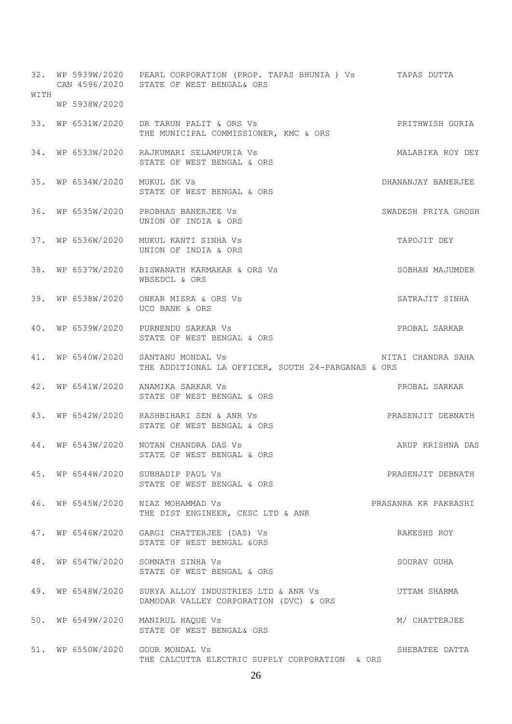| WTTH |                                  | 32. WP 5939W/2020 PEARL CORPORATION (PROP. TAPAS BHUNIA ) Vs TAPAS DUTTA<br>CAN 4596/2020 STATE OF WEST BENGAL& ORS |                      |
|------|----------------------------------|---------------------------------------------------------------------------------------------------------------------|----------------------|
|      | WP 5938W/2020                    |                                                                                                                     |                      |
|      |                                  | 33. WP 6531W/2020 DR TARUN PALIT & ORS Vs<br>THE MUNICIPAL COMMISSIONER, KMC & ORS                                  | PRITHWISH GURIA      |
|      |                                  | 34. WP 6533W/2020 RAJKUMARI SELAMPURIA Vs<br>STATE OF WEST BENGAL & ORS                                             | MALABIKA ROY DEY     |
|      | 35. WP 6534W/2020                | MUKUL SK Vs<br>STATE OF WEST BENGAL & ORS                                                                           | DHANANJAY BANERJEE   |
|      |                                  | 36. WP 6535W/2020 PROBHAS BANERJEE Vs<br>UNION OF INDIA & ORS                                                       | SWADESH PRIYA GHOSH  |
|      | 37. WP 6536W/2020                | MUKUL KANTI SINHA VS<br>UNION OF INDIA & ORS                                                                        | TAPOJIT DEY          |
|      | 38. WP 6537W/2020                | BISWANATH KARMAKAR & ORS Vs<br>WBSEDCL & ORS                                                                        | SOBHAN MAJUMDER      |
|      |                                  | 39. WP 6538W/2020 ONKAR MISRA & ORS Vs<br>UCO BANK & ORS                                                            | SATRAJIT SINHA       |
|      |                                  | 40. WP 6539W/2020 PURNENDU SARKAR Vs<br>STATE OF WEST BENGAL & ORS                                                  | PROBAL SARKAR        |
|      |                                  | 41. WP 6540W/2020 SANTANU MONDAL Vs<br>THE ADDITIONAL LA OFFICER, SOUTH 24-PARGANAS & ORS                           | NITAI CHANDRA SAHA   |
|      | 42. WP 6541W/2020                | ANAMIKA SARKAR Vs<br>STATE OF WEST BENGAL & ORS                                                                     | PROBAL SARKAR        |
|      | 43. WP 6542W/2020                | RASHBIHARI SEN & ANR Vs<br>STATE OF WEST BENGAL & ORS                                                               | PRASENJIT DEBNATH    |
|      |                                  | 44. WP 6543W/2020 NOTAN CHANDRA DAS Vs<br>STATE OF WEST BENGAL & ORS                                                | ARUP KRISHNA DAS     |
|      | 45. WP 6544W/2020                | SUBHADIP PAUL Vs<br>STATE OF WEST BENGAL & ORS                                                                      | PRASENJIT DEBNATH    |
|      | 46. WP 6545W/2020                | NIAZ MOHAMMAD Vs<br>THE DIST ENGINEER, CESC LTD & ANR                                                               | PRASANRA KR PAKRASHI |
|      |                                  | 47. WP 6546W/2020 GARGI CHATTERJEE (DAS) Vs<br>STATE OF WEST BENGAL &ORS                                            | RAKESHS ROY          |
|      |                                  | 48. WP 6547W/2020 SOMNATH SINHA Vs<br>STATE OF WEST BENGAL & ORS                                                    | SOURAV GUHA          |
|      |                                  | 49. WP 6548W/2020 SURYA ALLOY INDUSTRIES LTD & ANR Vs<br>DAMODAR VALLEY CORPORATION (DVC) & ORS                     | UTTAM SHARMA         |
|      |                                  | 50. WP 6549W/2020 MANIRUL HAQUE Vs<br>STATE OF WEST BENGAL& ORS                                                     | M/ CHATTERJEE        |
|      | 51. WP 6550W/2020 GOUR MONDAL Vs | THE CALCUTTA ELECTRIC SUPPLY CORPORATION & ORS                                                                      | SHEBATEE DATTA       |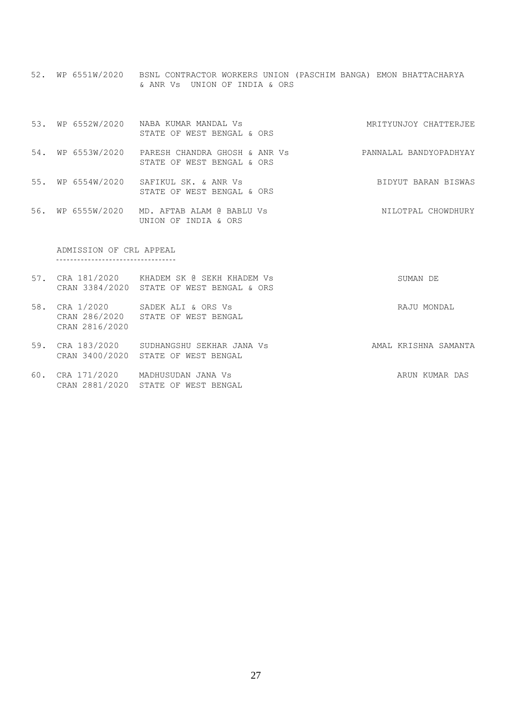- 52. WP 6551W/2020 BSNL CONTRACTOR WORKERS UNION (PASCHIM BANGA) EMON BHATTACHARYA & ANR Vs UNION OF INDIA & ORS
- 53. WP 6552W/2020 NABA KUMAR MANDAL Vs STATE OF WEST BENGAL & ORS MRITYUNJOY CHATTERJEE
- 54. WP 6553W/2020 PARESH CHANDRA GHOSH & ANR Vs PANNALAL BANDYOPADHYAY STATE OF WEST BENGAL & ORS

BIDYUT BARAN BISWAS

- 55. WP 6554W/2020 SAFIKUL SK. & ANR Vs STATE OF WEST BENGAL & ORS
- 56. WP 6555W/2020 MD. AFTAB ALAM @ BABLU Vs NILOTPAL CHOWDHURY UNION OF INDIA & ORS

ADMISSION OF CRL APPEAL

- 57. CRA 181/2020 KHADEM SK @ SEKH KHADEM Vs CRAN 3384/2020 STATE OF WEST BENGAL & ORS SUMAN DE 58. CRA 1/2020 CRAN 286/2020 STATE OF WEST BENGAL CRAN 2816/2020 SADEK ALI & ORS Vs RAJU MONDAL
- 59. CRA 183/2020 SUDHANGSHU SEKHAR JANA Vs AMAL KRISHNA SAMANTA CRAN 3400/2020 STATE OF WEST BENGAL
- 60. CRA 171/2020 MADHUSUDAN JANA Vs **ARUN KUMAR DAS** CRAN 2881/2020 STATE OF WEST BENGAL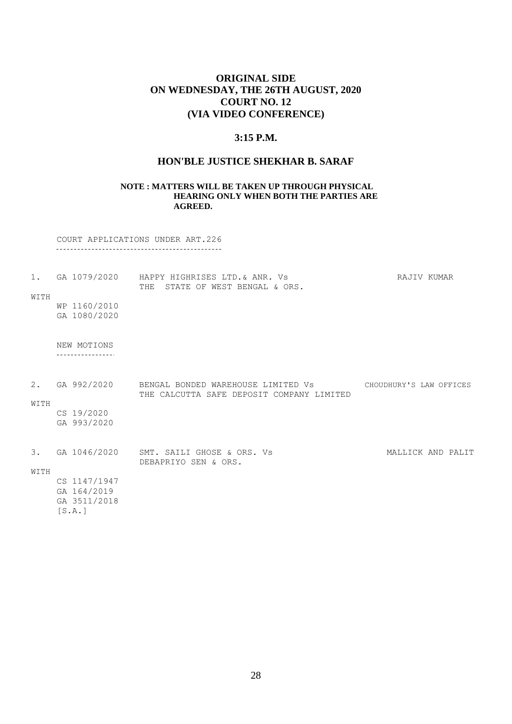### **ORIGINAL SIDE ON WEDNESDAY, THE 26TH AUGUST, 2020 COURT NO. 12 (VIA VIDEO CONFERENCE)**

### **3:15 P.M.**

### **HON'BLE JUSTICE SHEKHAR B. SARAF**

#### **NOTE : MATTERS WILL BE TAKEN UP THROUGH PHYSICAL HEARING ONLY WHEN BOTH THE PARTIES ARE AGREED.**

COURT APPLICATIONS UNDER ART.226

| 1.         |                                                       | GA 1079/2020 HAPPY HIGHRISES LTD.& ANR. Vs<br>STATE OF WEST BENGAL & ORS.<br>THE                                                     | RAJIV KUMAR       |
|------------|-------------------------------------------------------|--------------------------------------------------------------------------------------------------------------------------------------|-------------------|
| WITH       | WP 1160/2010<br>GA 1080/2020                          |                                                                                                                                      |                   |
|            | NEW MOTIONS                                           |                                                                                                                                      |                   |
| 2.<br>WITH |                                                       | GA 992/2020      BENGAL BONDED WAREHOUSE LIMITED Vs             CHOUDHURY'S LAW OFFICES<br>THE CALCUTTA SAFE DEPOSIT COMPANY LIMITED |                   |
|            | CS 19/2020<br>GA 993/2020                             |                                                                                                                                      |                   |
| 3.<br>WITH |                                                       | GA 1046/2020 SMT. SAILI GHOSE & ORS. Vs<br>DEBAPRIYO SEN & ORS.                                                                      | MALLICK AND PALIT |
|            | CS 1147/1947<br>GA 164/2019<br>GA 3511/2018<br>[S.A.] |                                                                                                                                      |                   |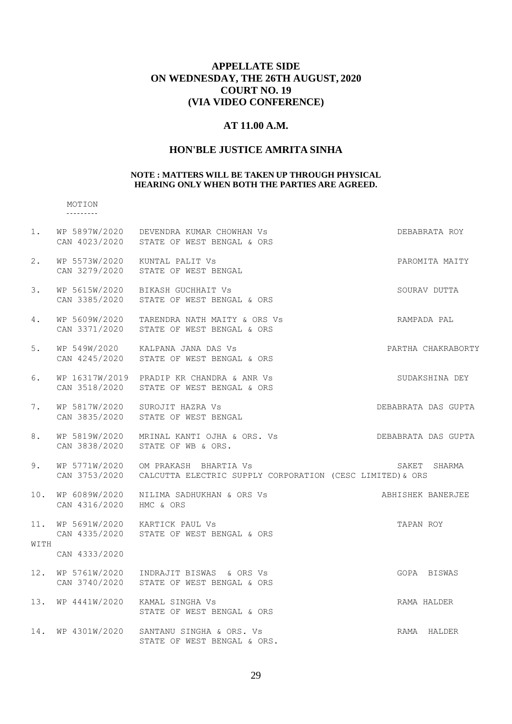### **APPELLATE SIDE ON WEDNESDAY, THE 26TH AUGUST, 2020 COURT NO. 19 (VIA VIDEO CONFERENCE)**

### **AT 11.00 A.M.**

### **HON'BLE JUSTICE AMRITA SINHA**

#### **NOTE : MATTERS WILL BE TAKEN UP THROUGH PHYSICAL HEARING ONLY WHEN BOTH THE PARTIES ARE AGREED.**

MOTION

| $1$ . |                                | WP 5897W/2020 DEVENDRA KUMAR CHOWHAN Vs<br>CAN 4023/2020 STATE OF WEST BENGAL & ORS                            | DEBABRATA ROY       |
|-------|--------------------------------|----------------------------------------------------------------------------------------------------------------|---------------------|
| 2.    | CAN 3279/2020                  | WP 5573W/2020 KUNTAL PALIT Vs<br>STATE OF WEST BENGAL                                                          | PAROMITA MAITY      |
| 3.    |                                | WP 5615W/2020 BIKASH GUCHHAIT Vs<br>CAN 3385/2020 STATE OF WEST BENGAL & ORS                                   | SOURAV DUTTA        |
| 4.    |                                | WP 5609W/2020 TARENDRA NATH MAITY & ORS Vs<br>CAN 3371/2020 STATE OF WEST BENGAL & ORS                         | RAMPADA PAL         |
| 5.    |                                | WP 549W/2020 KALPANA JANA DAS Vs<br>CAN 4245/2020 STATE OF WEST BENGAL & ORS                                   | PARTHA CHAKRABORTY  |
| 6.    | CAN 3518/2020                  | WP 16317W/2019 PRADIP KR CHANDRA & ANR Vs<br>STATE OF WEST BENGAL & ORS                                        | SUDAKSHINA DEY      |
| 7.    | CAN 3835/2020                  | WP 5817W/2020 SUROJIT HAZRA Vs<br>STATE OF WEST BENGAL                                                         | DEBABRATA DAS GUPTA |
| 8.    | CAN 3838/2020                  | WP 5819W/2020 MRINAL KANTI OJHA & ORS. Vs<br>STATE OF WB & ORS.                                                | DEBABRATA DAS GUPTA |
| 9.    |                                | WP 5771W/2020 OM PRAKASH BHARTIA Vs<br>CAN 3753/2020 CALCUTTA ELECTRIC SUPPLY CORPORATION (CESC LIMITED) & ORS | SAKET SHARMA        |
| 10.   | WP 6089W/2020<br>CAN 4316/2020 | NILIMA SADHUKHAN & ORS Vs<br>HMC & ORS                                                                         | ABHISHEK BANERJEE   |
|       |                                | 11. WP 5691W/2020 KARTICK PAUL Vs<br>CAN 4335/2020 STATE OF WEST BENGAL & ORS                                  | TAPAN ROY           |
| WITH  | CAN 4333/2020                  |                                                                                                                |                     |
| 12.   |                                | WP 5761W/2020 INDRAJIT BISWAS & ORS Vs<br>CAN 3740/2020 STATE OF WEST BENGAL & ORS                             | GOPA BISWAS         |
|       | 13. WP 4441W/2020              | KAMAL SINGHA Vs<br>STATE OF WEST BENGAL & ORS                                                                  | RAMA HALDER         |
| 14.   |                                | WP 4301W/2020 SANTANU SINGHA & ORS. Vs<br>STATE OF WEST BENGAL & ORS.                                          | RAMA HALDER         |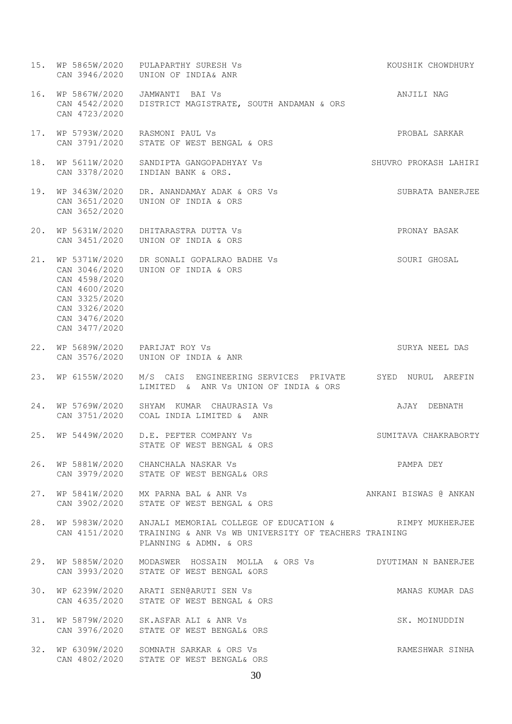15. WP 5865W/2020 PULAPARTHY SURESH Vs **KOUSHIK CHOWDHURY** CAN 3946/2020 UNION OF INDIA& ANR 16. WP 5867W/2020 JAMWANTI BAI Vs ANJILI NAG CAN 4542/2020 DISTRICT MAGISTRATE, SOUTH ANDAMAN & ORS CAN 4723/2020 17. WP 5793W/2020 RASMONI PAUL Vs PROBAL SARKAR CAN 3791/2020 STATE OF WEST BENGAL & ORS 18. WP 5611W/2020 SANDIPTA GANGOPADHYAY Vs SHUVRO PROKASH LAHIRI CAN 3378/2020 INDIAN BANK & ORS. 19. WP 3463W/2020 DR. ANANDAMAY ADAK & ORS Vs SUBRATA BANERJEE CAN 3651/2020 UNION OF INDIA & ORS CAN 3652/2020 20. WP 5631W/2020 DHITARASTRA DUTTA Vs PRONAY BASAK CAN 3451/2020 UNION OF INDIA & ORS 21. WP 5371W/2020 DR SONALI GOPALRAO BADHE Vs SOURI GHOSAL CAN 3046/2020 UNION OF INDIA & ORS CAN 4598/2020 CAN 4600/2020 CAN 3325/2020 CAN 3326/2020 CAN 3476/2020 CAN 3477/2020 22. WP 5689W/2020 PARIJAT ROY Vs SURYA NEEL DAS CAN 3576/2020 UNION OF INDIA & ANR 23. WP 6155W/2020 M/S CAIS ENGINEERING SERVICES PRIVATE SYED NURUL AREFIN LIMITED & ANR Vs UNION OF INDIA & ORS 24. WP 5769W/2020 SHYAM KUMAR CHAURASIA Vs AJAY DEBNATH CAN 3751/2020 COAL INDIA LIMITED & ANR 25. WP 5449W/2020 D.E. PEFTER COMPANY Vs SUMITAVA CHAKRABORTY STATE OF WEST BENGAL & ORS 26. WP 5881W/2020 CHANCHALA NASKAR Vs PAMPA DEY CAN 3979/2020 STATE OF WEST BENGAL& ORS 27. WP 5841W/2020 MX PARNA BAL & ANR Vs ANKANI BISWAS @ ANKAN CAN 3902/2020 STATE OF WEST BENGAL & ORS 28. WP 5983W/2020 ANJALI MEMORIAL COLLEGE OF EDUCATION & RIMPY MUKHERJEE CAN 4151/2020 TRAINING & ANR Vs WB UNIVERSITY OF TEACHERS TRAINING PLANNING & ADMN. & ORS 29. WP 5885W/2020 MODASWER HOSSAIN MOLLA & ORS Vs DYUTIMAN N BANERJEE CAN 3993/2020 STATE OF WEST BENGAL &ORS 30. WP 6239W/2020 ARATI SEN@ARUTI SEN Vs MANAS KUMAR DAS CAN 4635/2020 STATE OF WEST BENGAL & ORS 31. WP 5879W/2020 SK.ASFAR ALI & ANR Vs SK. MOINUDDIN CAN 3976/2020 STATE OF WEST BENGAL& ORS 32. WP 6309W/2020 SOMNATH SARKAR & ORS Vs RAMESHWAR SINHA CAN 4802/2020 STATE OF WEST BENGAL& ORS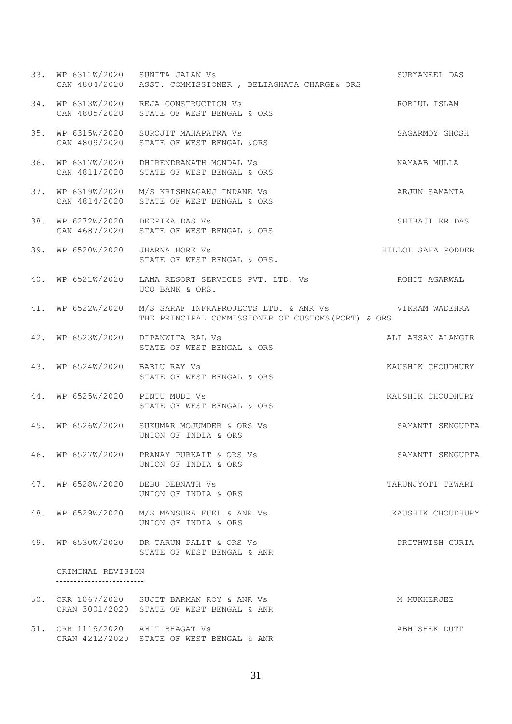|     |                                  | 33. WP 6311W/2020 SUNITA JALAN Vs<br>CAN 4804/2020 ASST. COMMISSIONER, BELIAGHATA CHARGE& ORS               | SURYANEEL DAS      |
|-----|----------------------------------|-------------------------------------------------------------------------------------------------------------|--------------------|
|     |                                  | 34. WP 6313W/2020 REJA CONSTRUCTION Vs<br>CAN 4805/2020 STATE OF WEST BENGAL & ORS                          | ROBIUL ISLAM       |
| 35. | CAN 4809/2020                    | WP 6315W/2020 SUROJIT MAHAPATRA Vs<br>STATE OF WEST BENGAL &ORS                                             | SAGARMOY GHOSH     |
|     |                                  | 36. WP 6317W/2020 DHIRENDRANATH MONDAL Vs<br>CAN 4811/2020 STATE OF WEST BENGAL & ORS                       | NAYAAB MULLA       |
|     |                                  | 37. WP 6319W/2020 M/S KRISHNAGANJ INDANE Vs<br>CAN 4814/2020 STATE OF WEST BENGAL & ORS                     | ARJUN SAMANTA      |
|     | 38. WP 6272W/2020 DEEPIKA DAS Vs | CAN 4687/2020 STATE OF WEST BENGAL & ORS                                                                    | SHIBAJI KR DAS     |
|     | 39. WP 6520W/2020                | JHARNA HORE Vs<br>STATE OF WEST BENGAL & ORS.                                                               | HILLOL SAHA PODDER |
| 40. | WP 6521W/2020                    | LAMA RESORT SERVICES PVT. LTD. Vs SAN ROHIT AGARWAL<br>UCO BANK & ORS.                                      |                    |
| 41. | WP 6522W/2020                    | M/S SARAF INFRAPROJECTS LTD. & ANR Vs  VIKRAM WADEHRA<br>THE PRINCIPAL COMMISSIONER OF CUSTOMS (PORT) & ORS |                    |
|     | 42. WP 6523W/2020                | DIPANWITA BAL Vs<br>STATE OF WEST BENGAL & ORS                                                              | ALI AHSAN ALAMGIR  |
|     | 43. WP 6524W/2020                | BABLU RAY Vs<br>STATE OF WEST BENGAL & ORS                                                                  | KAUSHIK CHOUDHURY  |
|     | 44. WP 6525W/2020 PINTU MUDI Vs  | STATE OF WEST BENGAL & ORS                                                                                  | KAUSHIK CHOUDHURY  |
|     |                                  | 45. WP 6526W/2020 SUKUMAR MOJUMDER & ORS Vs<br>UNION OF INDIA & ORS                                         | SAYANTI SENGUPTA   |
|     |                                  | 46. WP 6527W/2020 PRANAY PURKAIT & ORS Vs<br>UNION OF INDIA & ORS                                           | SAYANTI SENGUPTA   |
|     |                                  | 47. WP 6528W/2020 DEBU DEBNATH Vs<br>UNION OF INDIA & ORS                                                   | TARUNJYOTI TEWARI  |
|     |                                  | 48. WP 6529W/2020 M/S MANSURA FUEL & ANR Vs<br>UNION OF INDIA & ORS                                         | KAUSHIK CHOUDHURY  |
|     |                                  | 49. WP 6530W/2020 DR TARUN PALIT & ORS Vs<br>STATE OF WEST BENGAL & ANR                                     | PRITHWISH GURIA    |
|     | CRIMINAL REVISION                |                                                                                                             |                    |
|     |                                  | 50. CRR 1067/2020 SUJIT BARMAN ROY & ANR Vs<br>CRAN 3001/2020 STATE OF WEST BENGAL & ANR                    | M MUKHERJEE        |
|     | 51. CRR 1119/2020 AMIT BHAGAT Vs |                                                                                                             | ABHISHEK DUTT      |

31

CRAN 4212/2020 STATE OF WEST BENGAL & ANR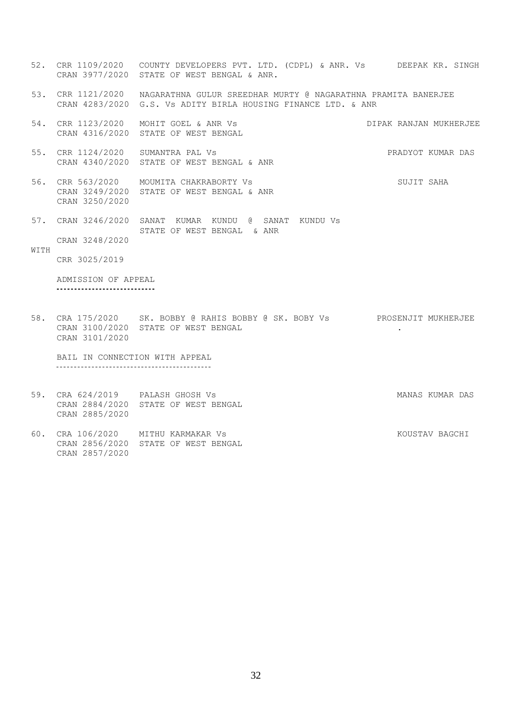- 52. CRR 1109/2020 COUNTY DEVELOPERS PVT. LTD. (CDPL) & ANR. Vs DEEPAK KR. SINGH CRAN 3977/2020 STATE OF WEST BENGAL & ANR.
- 53. CRR 1121/2020 NAGARATHNA GULUR SREEDHAR MURTY @ NAGARATHNA PRAMITA BANERJEE CRAN 4283/2020 G.S. Vs ADITY BIRLA HOUSING FINANCE LTD. & ANR
- 54. CRR 1123/2020 CRAN 4316/2020 STATE OF WEST BENGAL DIPAK RANJAN MUKHERJEE
- 55. CRR 1124/2020 CRAN 4340/2020 STATE OF WEST BENGAL & ANR PRADYOT KUMAR DAS
- 56. CRR 563/2020 MOUMITA CHAKRABORTY Vs SUJIT SAHA CRAN 3249/2020 STATE OF WEST BENGAL & ANR CRAN 3250/2020
- 57. CRAN 3246/2020 SANAT KUMAR KUNDU @ SANAT KUNDU Vs STATE OF WEST BENGAL & ANR CRAN 3248/2020
- WITH

CRR 3025/2019

ADMISSION OF APPEAL ------------------------------

58. CRA 175/2020 SK. BOBBY @ RAHIS BOBBY @ SK. BOBY Vs PROSENJIT MUKHERJEE CRAN 3100/2020 STATE OF WEST BENGAL . CRAN 3101/2020

BAIL IN CONNECTION WITH APPEAL 

- 59. CRA 624/2019 PALASH GHOSH Vs **MANAS KUMAR** DAS CRAN 2884/2020 STATE OF WEST BENGAL CRAN 2885/2020 60. CRA 106/2020 MITHU KARMAKAR Vs **KOUSTAV BAGCHI**
- CRAN 2856/2020 STATE OF WEST BENGAL CRAN 2857/2020